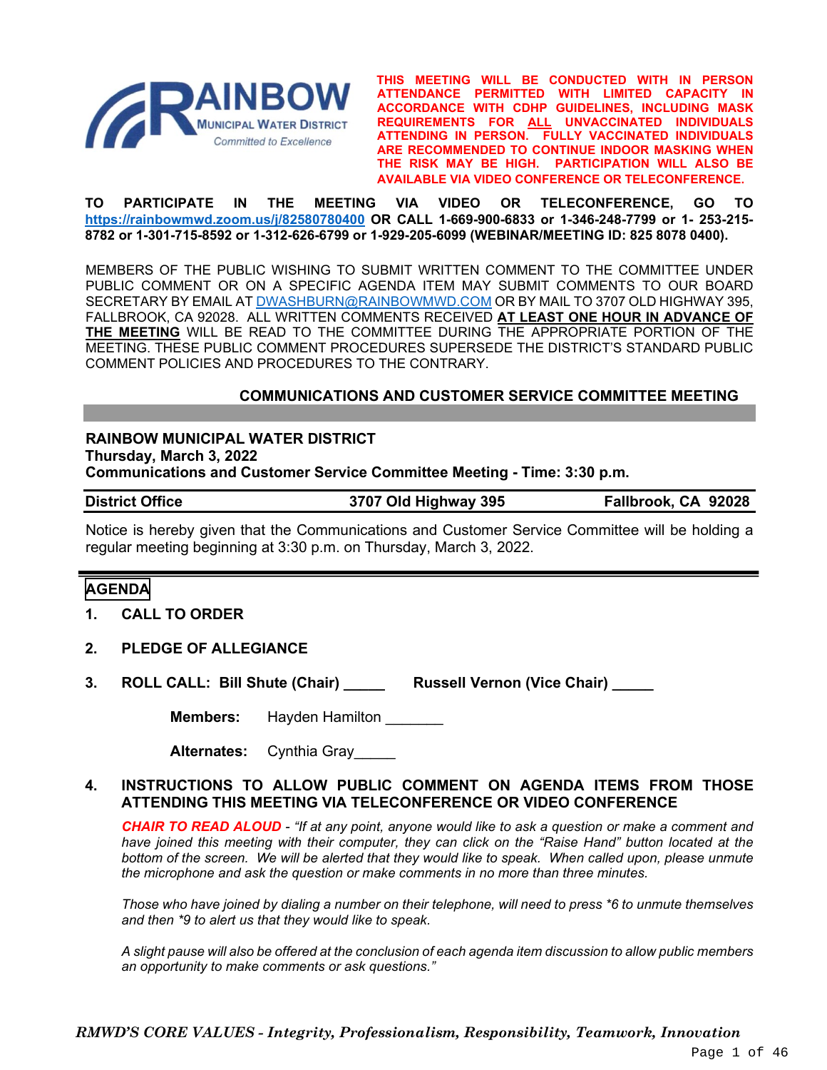

**THIS MEETING WILL BE CONDUCTED WITH IN PERSON ATTENDANCE PERMITTED WITH LIMITED CAPACITY IN ACCORDANCE WITH CDHP GUIDELINES, INCLUDING MASK REQUIREMENTS FOR ALL UNVACCINATED INDIVIDUALS ATTENDING IN PERSON. FULLY VACCINATED INDIVIDUALS ARE RECOMMENDED TO CONTINUE INDOOR MASKING WHEN THE RISK MAY BE HIGH. PARTICIPATION WILL ALSO BE AVAILABLE VIA VIDEO CONFERENCE OR TELECONFERENCE.**

**TO PARTICIPATE IN THE MEETING VIA VIDEO OR TELECONFERENCE, GO TO <https://rainbowmwd.zoom.us/j/82580780400> OR CALL 1-669-900-6833 or 1-346-248-7799 or 1- 253-215- 8782 or 1-301-715-8592 or 1-312-626-6799 or 1-929-205-6099 (WEBINAR/MEETING ID: 825 8078 0400).**

MEMBERS OF THE PUBLIC WISHING TO SUBMIT WRITTEN COMMENT TO THE COMMITTEE UNDER PUBLIC COMMENT OR ON A SPECIFIC AGENDA ITEM MAY SUBMIT COMMENTS TO OUR BOARD SECRETARY BY EMAIL A[T DWASHBURN@RAINBOWMWD.COM](mailto:DWASHBURN@RAINBOWMWD.COM) OR BY MAIL TO 3707 OLD HIGHWAY 395, FALLBROOK, CA 92028. ALL WRITTEN COMMENTS RECEIVED **AT LEAST ONE HOUR IN ADVANCE OF THE MEETING** WILL BE READ TO THE COMMITTEE DURING THE APPROPRIATE PORTION OF THE MEETING. THESE PUBLIC COMMENT PROCEDURES SUPERSEDE THE DISTRICT'S STANDARD PUBLIC COMMENT POLICIES AND PROCEDURES TO THE CONTRARY.

# **COMMUNICATIONS AND CUSTOMER SERVICE COMMITTEE MEETING**

**RAINBOW MUNICIPAL WATER DISTRICT Thursday, March 3, 2022 Communications and Customer Service Committee Meeting - Time: 3:30 p.m.**

**District Office 3707 Old Highway 395 Fallbrook, CA 92028**

Notice is hereby given that the Communications and Customer Service Committee will be holding a regular meeting beginning at 3:30 p.m. on Thursday, March 3, 2022.

#### **AGENDA**

- **1. CALL TO ORDER**
- **2. PLEDGE OF ALLEGIANCE**
- **3. ROLL CALL: Bill Shute (Chair) \_\_\_\_\_ Russell Vernon (Vice Chair) \_\_\_\_\_**

**Members:** Hayden Hamilton

**Alternates:** Cynthia Gray\_\_\_\_\_

#### **4. INSTRUCTIONS TO ALLOW PUBLIC COMMENT ON AGENDA ITEMS FROM THOSE ATTENDING THIS MEETING VIA TELECONFERENCE OR VIDEO CONFERENCE**

*CHAIR TO READ ALOUD - "If at any point, anyone would like to ask a question or make a comment and have joined this meeting with their computer, they can click on the "Raise Hand" button located at the bottom of the screen. We will be alerted that they would like to speak. When called upon, please unmute the microphone and ask the question or make comments in no more than three minutes.*

*Those who have joined by dialing a number on their telephone, will need to press \*6 to unmute themselves and then \*9 to alert us that they would like to speak.*

*A slight pause will also be offered at the conclusion of each agenda item discussion to allow public members an opportunity to make comments or ask questions."*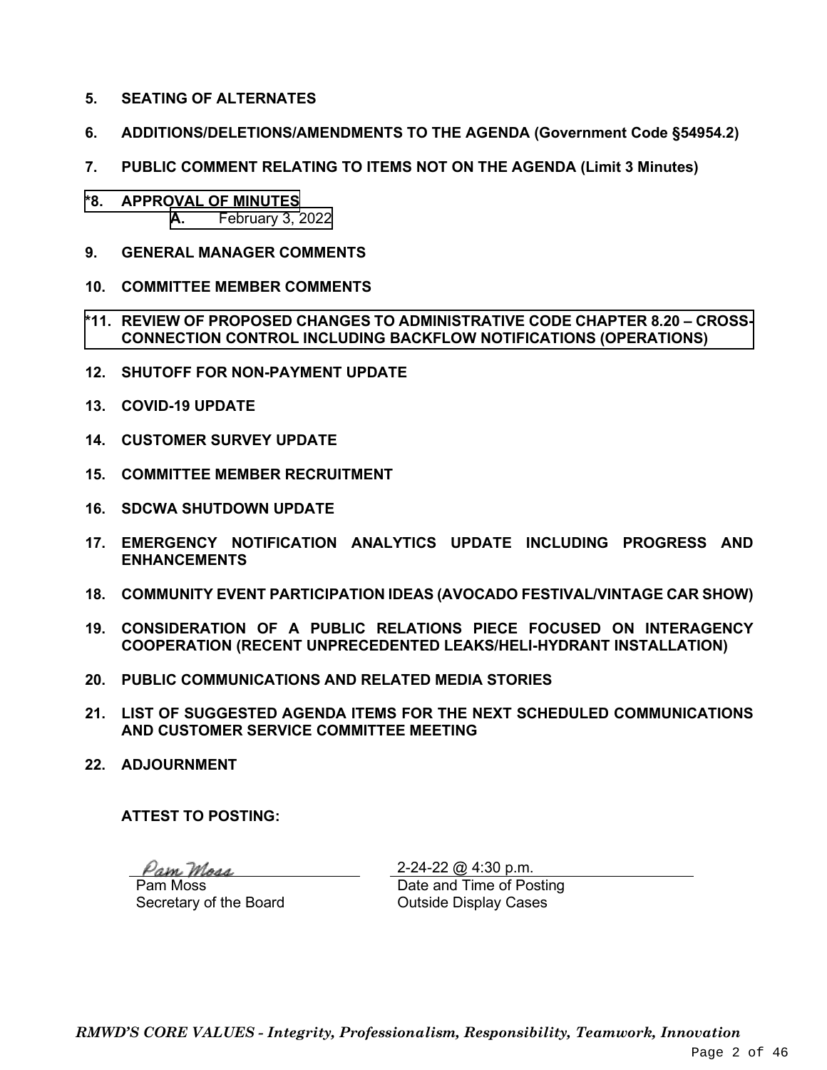- **5. SEATING OF ALTERNATES**
- **6. ADDITIONS/DELETIONS/AMENDMENTS TO THE AGENDA (Government Code §54954.2)**
- **7. PUBLIC COMMENT RELATING TO ITEMS NOT ON THE AGENDA (Limit 3 Minutes)**
- **\*8. APPROVAL OF MINUTES A.** [February 3, 2022](#page-2-0)
- **9. GENERAL MANAGER COMMENTS**
- **10. COMMITTEE MEMBER COMMENTS**
- **\*11. REVIEW OF PROPOSED CHANGES TO ADMINISTRATIVE CODE CHAPTER 8.20 – CROSS-[CONNECTION CONTROL INCLUDING BACKFLOW NOTIFICATIONS \(OPERATIONS\)](#page-8-0)**
- **12. SHUTOFF FOR NON-PAYMENT UPDATE**
- **13. COVID-19 UPDATE**
- **14. CUSTOMER SURVEY UPDATE**
- **15. COMMITTEE MEMBER RECRUITMENT**
- **16. SDCWA SHUTDOWN UPDATE**
- **17. EMERGENCY NOTIFICATION ANALYTICS UPDATE INCLUDING PROGRESS AND ENHANCEMENTS**
- **18. COMMUNITY EVENT PARTICIPATION IDEAS (AVOCADO FESTIVAL/VINTAGE CAR SHOW)**
- **19. CONSIDERATION OF A PUBLIC RELATIONS PIECE FOCUSED ON INTERAGENCY COOPERATION (RECENT UNPRECEDENTED LEAKS/HELI-HYDRANT INSTALLATION)**
- **20. PUBLIC COMMUNICATIONS AND RELATED MEDIA STORIES**
- **21. LIST OF SUGGESTED AGENDA ITEMS FOR THE NEXT SCHEDULED COMMUNICATIONS AND CUSTOMER SERVICE COMMITTEE MEETING**
- **22. ADJOURNMENT**

**ATTEST TO POSTING:**

Pam Moss Pam Moss

Secretary of the Board

2-24-22 @ 4:30 p.m. Date and Time of Posting Outside Display Cases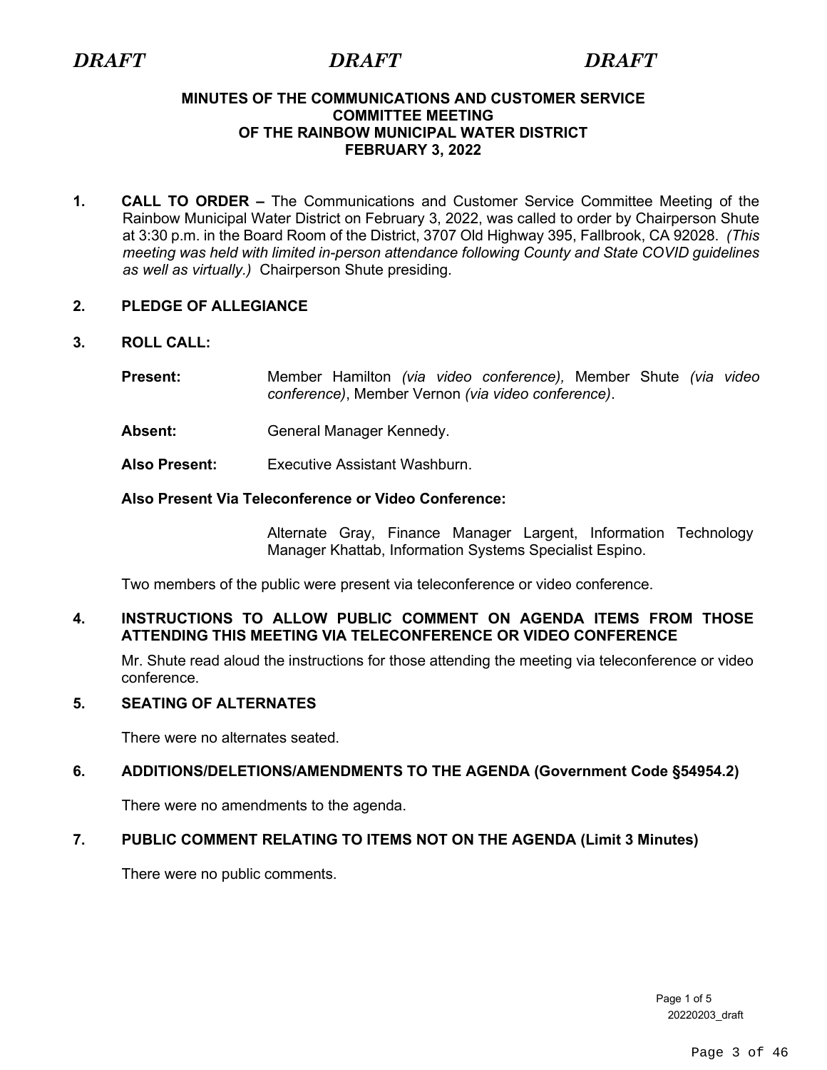### <span id="page-2-0"></span>**MINUTES OF THE COMMUNICATIONS AND CUSTOMER SERVICE COMMITTEE MEETING OF THE RAINBOW MUNICIPAL WATER DISTRICT FEBRUARY 3, 2022**

**1. CALL TO ORDER –** The Communications and Customer Service Committee Meeting of the Rainbow Municipal Water District on February 3, 2022, was called to order by Chairperson Shute at 3:30 p.m. in the Board Room of the District, 3707 Old Highway 395, Fallbrook, CA 92028. *(This meeting was held with limited in-person attendance following County and State COVID guidelines as well as virtually.)* Chairperson Shute presiding.

# **2. PLEDGE OF ALLEGIANCE**

- **3. ROLL CALL:** 
	- **Present:** Member Hamilton *(via video conference),* Member Shute *(via video conference)*, Member Vernon *(via video conference)*.
	- Absent: General Manager Kennedy.
	- **Also Present:** Executive Assistant Washburn.

# **Also Present Via Teleconference or Video Conference:**

Alternate Gray, Finance Manager Largent, Information Technology Manager Khattab, Information Systems Specialist Espino.

Two members of the public were present via teleconference or video conference.

# **4. INSTRUCTIONS TO ALLOW PUBLIC COMMENT ON AGENDA ITEMS FROM THOSE ATTENDING THIS MEETING VIA TELECONFERENCE OR VIDEO CONFERENCE**

Mr. Shute read aloud the instructions for those attending the meeting via teleconference or video conference.

# **5. SEATING OF ALTERNATES**

There were no alternates seated.

# **6. ADDITIONS/DELETIONS/AMENDMENTS TO THE AGENDA (Government Code §54954.2)**

There were no amendments to the agenda.

# **7. PUBLIC COMMENT RELATING TO ITEMS NOT ON THE AGENDA (Limit 3 Minutes)**

There were no public comments.

Page 1 of 5 20220203\_draft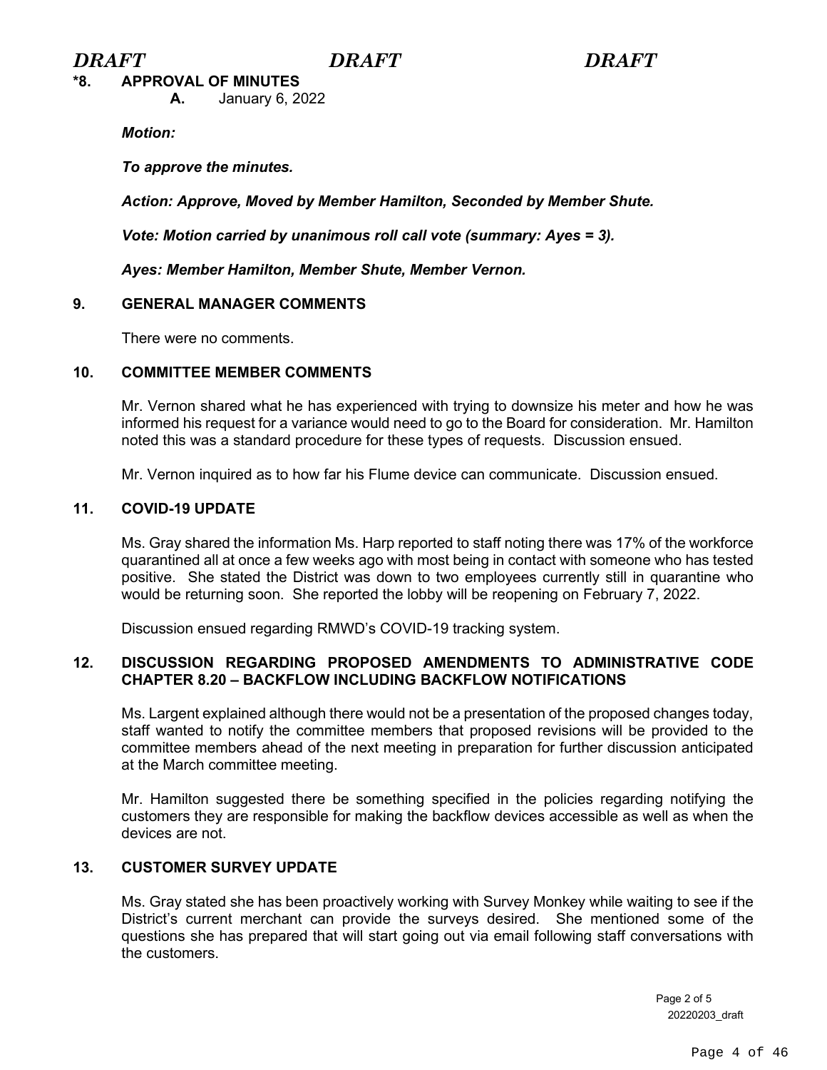**\*8. APPROVAL OF MINUTES**

**A.** January 6, 2022

*Motion:* 

*To approve the minutes.*

*Action: Approve, Moved by Member Hamilton, Seconded by Member Shute.*

*Vote: Motion carried by unanimous roll call vote (summary: Ayes = 3).*

*Ayes: Member Hamilton, Member Shute, Member Vernon.*

# **9. GENERAL MANAGER COMMENTS**

There were no comments.

# **10. COMMITTEE MEMBER COMMENTS**

Mr. Vernon shared what he has experienced with trying to downsize his meter and how he was informed his request for a variance would need to go to the Board for consideration. Mr. Hamilton noted this was a standard procedure for these types of requests. Discussion ensued.

Mr. Vernon inquired as to how far his Flume device can communicate. Discussion ensued.

# **11. COVID-19 UPDATE**

Ms. Gray shared the information Ms. Harp reported to staff noting there was 17% of the workforce quarantined all at once a few weeks ago with most being in contact with someone who has tested positive. She stated the District was down to two employees currently still in quarantine who would be returning soon. She reported the lobby will be reopening on February 7, 2022.

Discussion ensued regarding RMWD's COVID-19 tracking system.

# **12. DISCUSSION REGARDING PROPOSED AMENDMENTS TO ADMINISTRATIVE CODE CHAPTER 8.20 – BACKFLOW INCLUDING BACKFLOW NOTIFICATIONS**

Ms. Largent explained although there would not be a presentation of the proposed changes today, staff wanted to notify the committee members that proposed revisions will be provided to the committee members ahead of the next meeting in preparation for further discussion anticipated at the March committee meeting.

Mr. Hamilton suggested there be something specified in the policies regarding notifying the customers they are responsible for making the backflow devices accessible as well as when the devices are not.

# **13. CUSTOMER SURVEY UPDATE**

Ms. Gray stated she has been proactively working with Survey Monkey while waiting to see if the District's current merchant can provide the surveys desired. She mentioned some of the questions she has prepared that will start going out via email following staff conversations with the customers.

> Page 2 of 5 20220203\_draft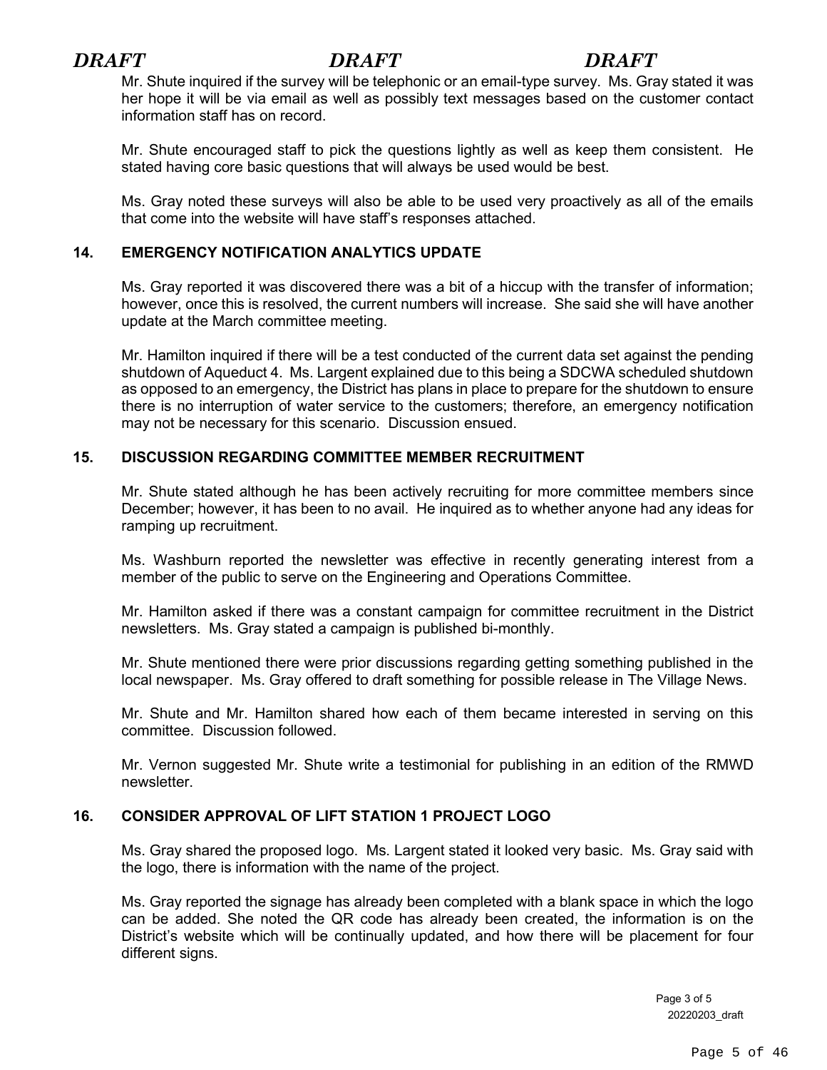# *DRAFT DRAFT DRAFT*

Mr. Shute inquired if the survey will be telephonic or an email-type survey. Ms. Gray stated it was her hope it will be via email as well as possibly text messages based on the customer contact information staff has on record.

Mr. Shute encouraged staff to pick the questions lightly as well as keep them consistent. He stated having core basic questions that will always be used would be best.

Ms. Gray noted these surveys will also be able to be used very proactively as all of the emails that come into the website will have staff's responses attached.

# **14. EMERGENCY NOTIFICATION ANALYTICS UPDATE**

Ms. Gray reported it was discovered there was a bit of a hiccup with the transfer of information; however, once this is resolved, the current numbers will increase. She said she will have another update at the March committee meeting.

Mr. Hamilton inquired if there will be a test conducted of the current data set against the pending shutdown of Aqueduct 4. Ms. Largent explained due to this being a SDCWA scheduled shutdown as opposed to an emergency, the District has plans in place to prepare for the shutdown to ensure there is no interruption of water service to the customers; therefore, an emergency notification may not be necessary for this scenario. Discussion ensued.

# **15. DISCUSSION REGARDING COMMITTEE MEMBER RECRUITMENT**

Mr. Shute stated although he has been actively recruiting for more committee members since December; however, it has been to no avail. He inquired as to whether anyone had any ideas for ramping up recruitment.

Ms. Washburn reported the newsletter was effective in recently generating interest from a member of the public to serve on the Engineering and Operations Committee.

Mr. Hamilton asked if there was a constant campaign for committee recruitment in the District newsletters. Ms. Gray stated a campaign is published bi-monthly.

Mr. Shute mentioned there were prior discussions regarding getting something published in the local newspaper. Ms. Gray offered to draft something for possible release in The Village News.

Mr. Shute and Mr. Hamilton shared how each of them became interested in serving on this committee. Discussion followed.

Mr. Vernon suggested Mr. Shute write a testimonial for publishing in an edition of the RMWD newsletter.

# **16. CONSIDER APPROVAL OF LIFT STATION 1 PROJECT LOGO**

Ms. Gray shared the proposed logo. Ms. Largent stated it looked very basic. Ms. Gray said with the logo, there is information with the name of the project.

Ms. Gray reported the signage has already been completed with a blank space in which the logo can be added. She noted the QR code has already been created, the information is on the District's website which will be continually updated, and how there will be placement for four different signs.

> Page 3 of 5 20220203\_draft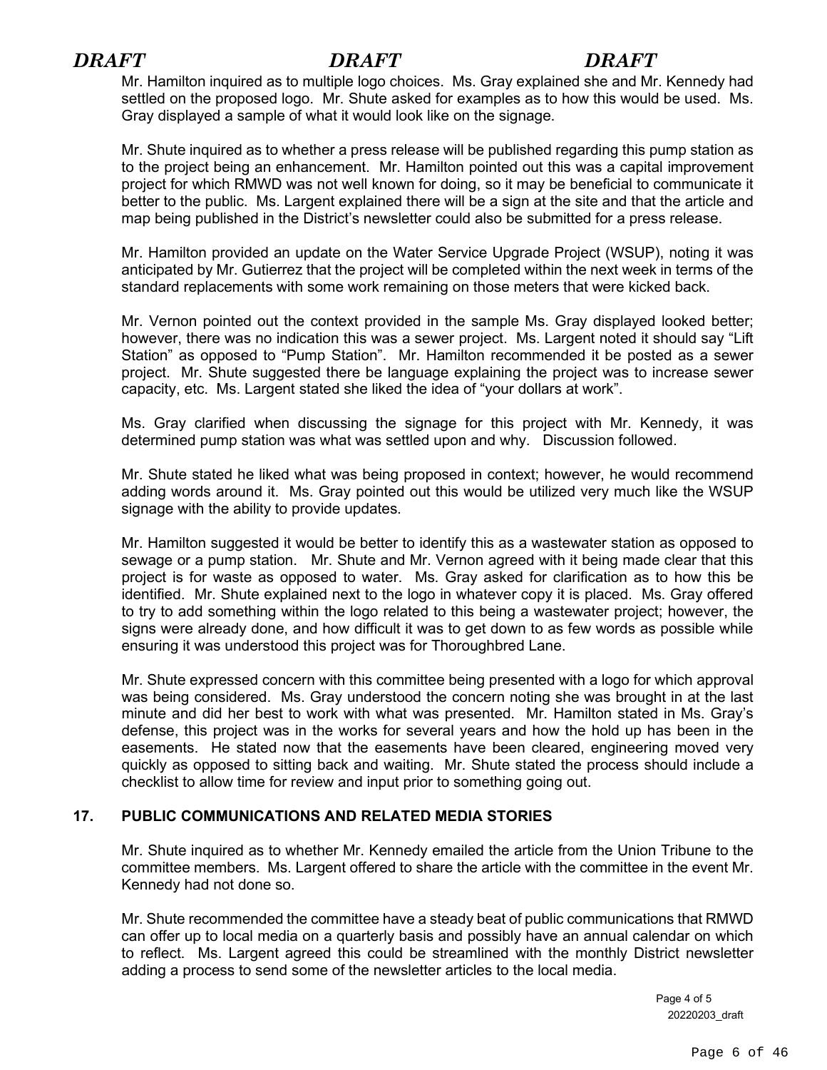# *DRAFT DRAFT DRAFT*

Mr. Hamilton inquired as to multiple logo choices. Ms. Gray explained she and Mr. Kennedy had settled on the proposed logo. Mr. Shute asked for examples as to how this would be used. Ms. Gray displayed a sample of what it would look like on the signage.

Mr. Shute inquired as to whether a press release will be published regarding this pump station as to the project being an enhancement. Mr. Hamilton pointed out this was a capital improvement project for which RMWD was not well known for doing, so it may be beneficial to communicate it better to the public. Ms. Largent explained there will be a sign at the site and that the article and map being published in the District's newsletter could also be submitted for a press release.

 Mr. Hamilton provided an update on the Water Service Upgrade Project (WSUP), noting it was anticipated by Mr. Gutierrez that the project will be completed within the next week in terms of the standard replacements with some work remaining on those meters that were kicked back.

Mr. Vernon pointed out the context provided in the sample Ms. Gray displayed looked better; however, there was no indication this was a sewer project. Ms. Largent noted it should say "Lift Station" as opposed to "Pump Station". Mr. Hamilton recommended it be posted as a sewer project. Mr. Shute suggested there be language explaining the project was to increase sewer capacity, etc. Ms. Largent stated she liked the idea of "your dollars at work".

Ms. Gray clarified when discussing the signage for this project with Mr. Kennedy, it was determined pump station was what was settled upon and why. Discussion followed.

Mr. Shute stated he liked what was being proposed in context; however, he would recommend adding words around it. Ms. Gray pointed out this would be utilized very much like the WSUP signage with the ability to provide updates.

Mr. Hamilton suggested it would be better to identify this as a wastewater station as opposed to sewage or a pump station. Mr. Shute and Mr. Vernon agreed with it being made clear that this project is for waste as opposed to water. Ms. Gray asked for clarification as to how this be identified. Mr. Shute explained next to the logo in whatever copy it is placed. Ms. Gray offered to try to add something within the logo related to this being a wastewater project; however, the signs were already done, and how difficult it was to get down to as few words as possible while ensuring it was understood this project was for Thoroughbred Lane.

Mr. Shute expressed concern with this committee being presented with a logo for which approval was being considered. Ms. Gray understood the concern noting she was brought in at the last minute and did her best to work with what was presented. Mr. Hamilton stated in Ms. Gray's defense, this project was in the works for several years and how the hold up has been in the easements. He stated now that the easements have been cleared, engineering moved very quickly as opposed to sitting back and waiting. Mr. Shute stated the process should include a checklist to allow time for review and input prior to something going out.

# **17. PUBLIC COMMUNICATIONS AND RELATED MEDIA STORIES**

Mr. Shute inquired as to whether Mr. Kennedy emailed the article from the Union Tribune to the committee members. Ms. Largent offered to share the article with the committee in the event Mr. Kennedy had not done so.

Mr. Shute recommended the committee have a steady beat of public communications that RMWD can offer up to local media on a quarterly basis and possibly have an annual calendar on which to reflect. Ms. Largent agreed this could be streamlined with the monthly District newsletter adding a process to send some of the newsletter articles to the local media.

> Page 4 of 5 20220203\_draft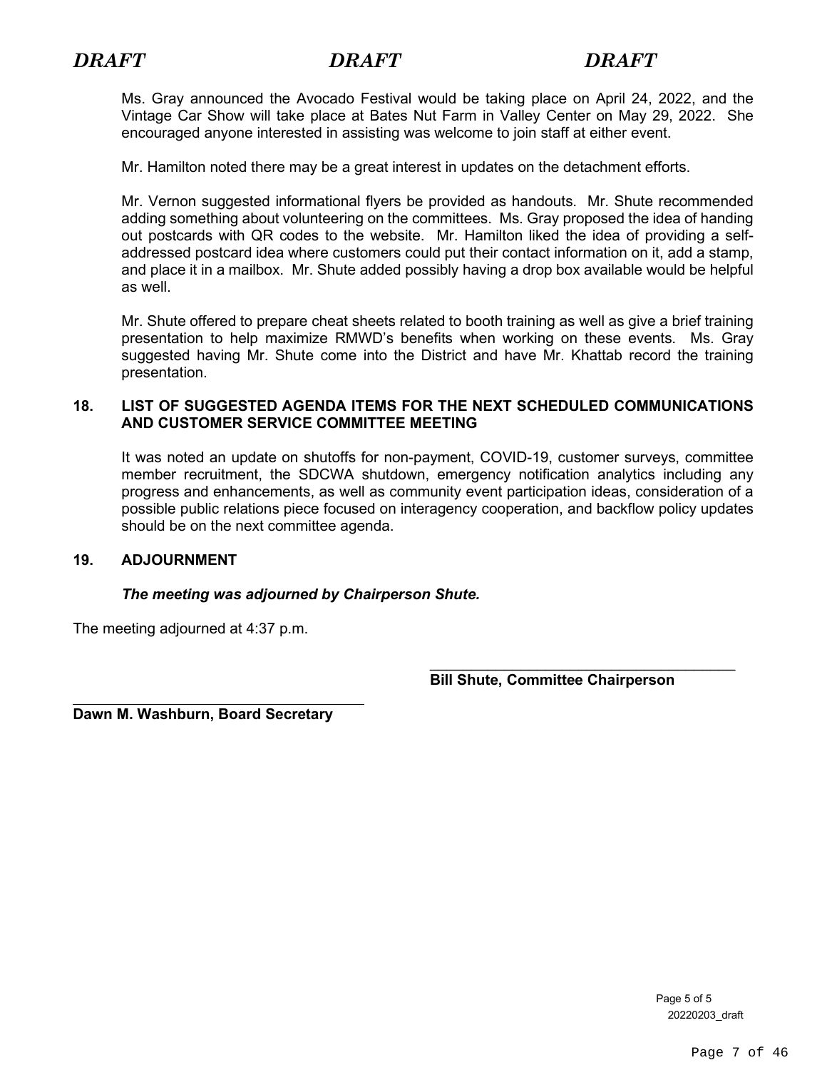Ms. Gray announced the Avocado Festival would be taking place on April 24, 2022, and the Vintage Car Show will take place at Bates Nut Farm in Valley Center on May 29, 2022. She encouraged anyone interested in assisting was welcome to join staff at either event.

Mr. Hamilton noted there may be a great interest in updates on the detachment efforts.

Mr. Vernon suggested informational flyers be provided as handouts. Mr. Shute recommended adding something about volunteering on the committees. Ms. Gray proposed the idea of handing out postcards with QR codes to the website. Mr. Hamilton liked the idea of providing a selfaddressed postcard idea where customers could put their contact information on it, add a stamp, and place it in a mailbox. Mr. Shute added possibly having a drop box available would be helpful as well.

Mr. Shute offered to prepare cheat sheets related to booth training as well as give a brief training presentation to help maximize RMWD's benefits when working on these events. Ms. Gray suggested having Mr. Shute come into the District and have Mr. Khattab record the training presentation.

# **18. LIST OF SUGGESTED AGENDA ITEMS FOR THE NEXT SCHEDULED COMMUNICATIONS AND CUSTOMER SERVICE COMMITTEE MEETING**

It was noted an update on shutoffs for non-payment, COVID-19, customer surveys, committee member recruitment, the SDCWA shutdown, emergency notification analytics including any progress and enhancements, as well as community event participation ideas, consideration of a possible public relations piece focused on interagency cooperation, and backflow policy updates should be on the next committee agenda.

# **19. ADJOURNMENT**

# *The meeting was adjourned by Chairperson Shute.*

The meeting adjourned at 4:37 p.m.

\_\_\_\_\_\_\_\_\_\_\_\_\_\_\_\_\_\_\_\_\_\_\_\_\_\_\_\_\_\_\_\_\_\_\_\_\_  **Bill Shute, Committee Chairperson**

**Dawn M. Washburn, Board Secretary**

Page 5 of 5 20220203\_draft

Page 7 of 46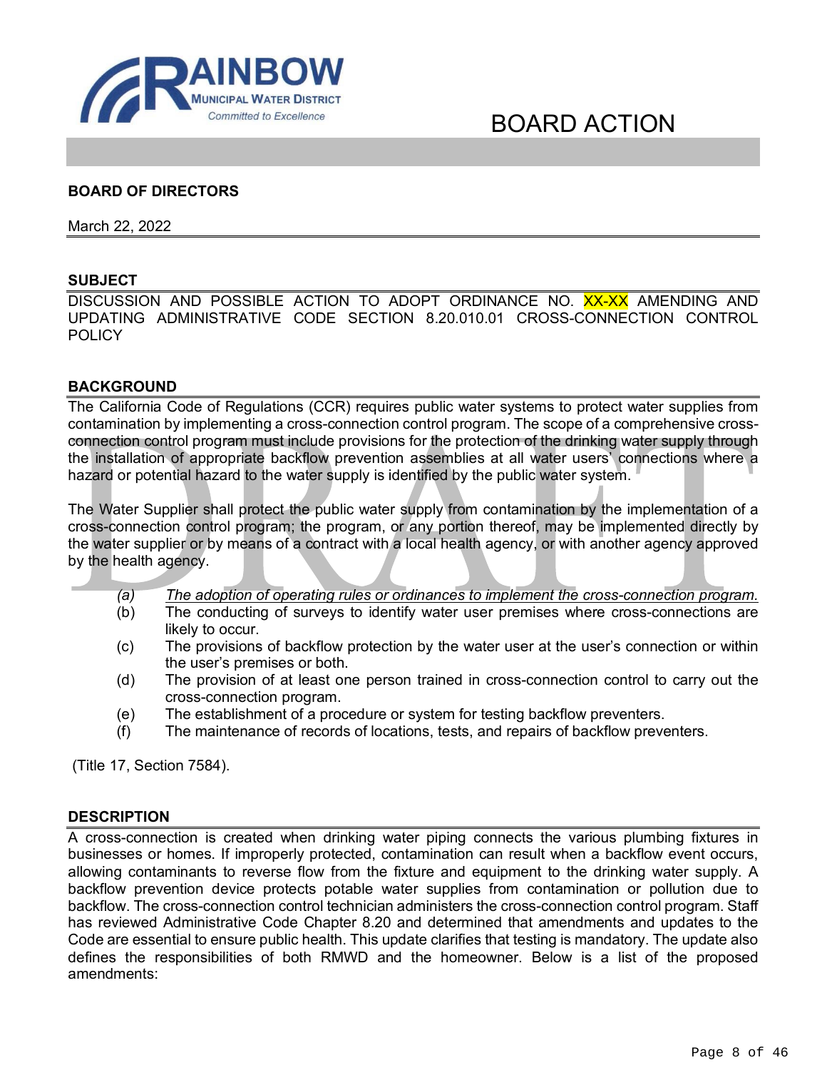<span id="page-8-0"></span>

# BOARD ACTION

# **BOARD OF DIRECTORS**

March 22, 2022

# **SUBJECT**

DISCUSSION AND POSSIBLE ACTION TO ADOPT ORDINANCE NO. XX-XX AMENDING AND UPDATING ADMINISTRATIVE CODE SECTION 8.20.010.01 CROSS-CONNECTION CONTROL **POLICY** 

#### **BACKGROUND**

The California Code of Regulations (CCR) requires public water systems to protect water supplies from contamination by implementing a cross-connection control program. The scope of a comprehensive crossconnection control program must include provisions for the protection of the drinking water supply through the installation of appropriate backflow prevention assemblies at all water users' connections where a hazard or potential hazard to the water supply is identified by the public water system.

The Water Supplier shall protect the public water supply from contamination by the implementation of a cross-connection control program; the program, or any portion thereof, may be implemented directly by the water supplier or by means of a contract with a local health agency, or with another agency approved by the health agency.

- *(a) The adoption of operating rules or ordinances to implement the cross-connection program.*
- (b) The conducting of surveys to identify water user premises where cross-connections are likely to occur.
- (c) The provisions of backflow protection by the water user at the user's connection or within the user's premises or both.
- (d) The provision of at least one person trained in cross-connection control to carry out the cross-connection program.
- (e) The establishment of a procedure or system for testing backflow preventers.
- (f) The maintenance of records of locations, tests, and repairs of backflow preventers.

(Title 17, Section 7584).

#### **DESCRIPTION**

A cross-connection is created when drinking water piping connects the various plumbing fixtures in businesses or homes. If improperly protected, contamination can result when a backflow event occurs, allowing contaminants to reverse flow from the fixture and equipment to the drinking water supply. A backflow prevention device protects potable water supplies from contamination or pollution due to backflow. The cross-connection control technician administers the cross-connection control program. Staff has reviewed Administrative Code Chapter 8.20 and determined that amendments and updates to the Code are essential to ensure public health. This update clarifies that testing is mandatory. The update also defines the responsibilities of both RMWD and the homeowner. Below is a list of the proposed amendments: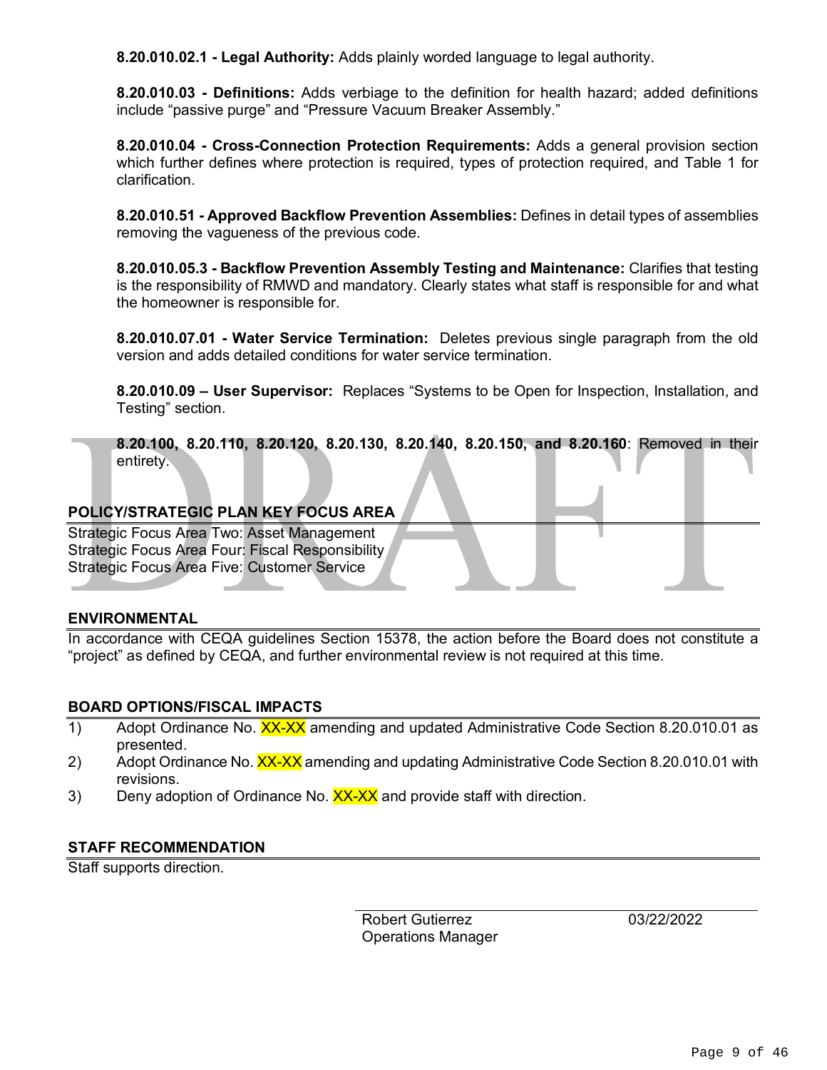**8.20.010.02.1 - Legal Authority:** Adds plainly worded language to legal authority.

**8.20.010.03 - Definitions:** Adds verbiage to the definition for health hazard; added definitions include "passive purge" and "Pressure Vacuum Breaker Assembly."

**8.20.010.04 - Cross-Connection Protection Requirements:** Adds a general provision section which further defines where protection is required, types of protection required, and Table 1 for clarification.

**8.20.010.51 - Approved Backflow Prevention Assemblies:** Defines in detail types of assemblies removing the vagueness of the previous code.

**8.20.010.05.3 - Backflow Prevention Assembly Testing and Maintenance:** Clarifies that testing is the responsibility of RMWD and mandatory. Clearly states what staff is responsible for and what the homeowner is responsible for.

**8.20.010.07.01 - Water Service Termination:** Deletes previous single paragraph from the old version and adds detailed conditions for water service termination.

**8.20.010.09 – User Supervisor:** Replaces "Systems to be Open for Inspection, Installation, and Testing" section.

**8.20.100, 8.20.110, 8.20.120, 8.20.130, 8.20.140, 8.20.150, and 8.20.160**: Removed in their entirety.

# **POLICY/STRATEGIC PLAN KEY FOCUS AREA**

Strategic Focus Area Two: Asset Management Strategic Focus Area Four: Fiscal Responsibility Strategic Focus Area Five: Customer Service

# **ENVIRONMENTAL**

In accordance with CEQA guidelines Section 15378, the action before the Board does not constitute a "project" as defined by CEQA, and further environmental review is not required at this time.

# **BOARD OPTIONS/FISCAL IMPACTS**

- Adopt Ordinance No. XX-XX amending and updated Administrative Code Section 8.20.010.01 as<br>
presented.<br>
Adopt Ordinance No. XX-XX amending and updating Administrative Code Section 8.20.010.01 with<br>
revisions.<br>
Deny adoption presented.
- Adopt Ordinance No. XX-XX amending and updating Administrative Code Section 8.20.010.01 with<br>revisions.<br>2) Deny adoption of Ordinance No. XX-XX and provide staff with direction.<br>27155 BEOCHILENE ATION revisions.
- 3) Deny adoption of Ordinance No. XX-XX and provide staff with direction.

# **STAFF RECOMMENDATION**

Staff supports direction.

Robert Gutierrez Operations Manager 03/22/2022

-=--------=-J L J L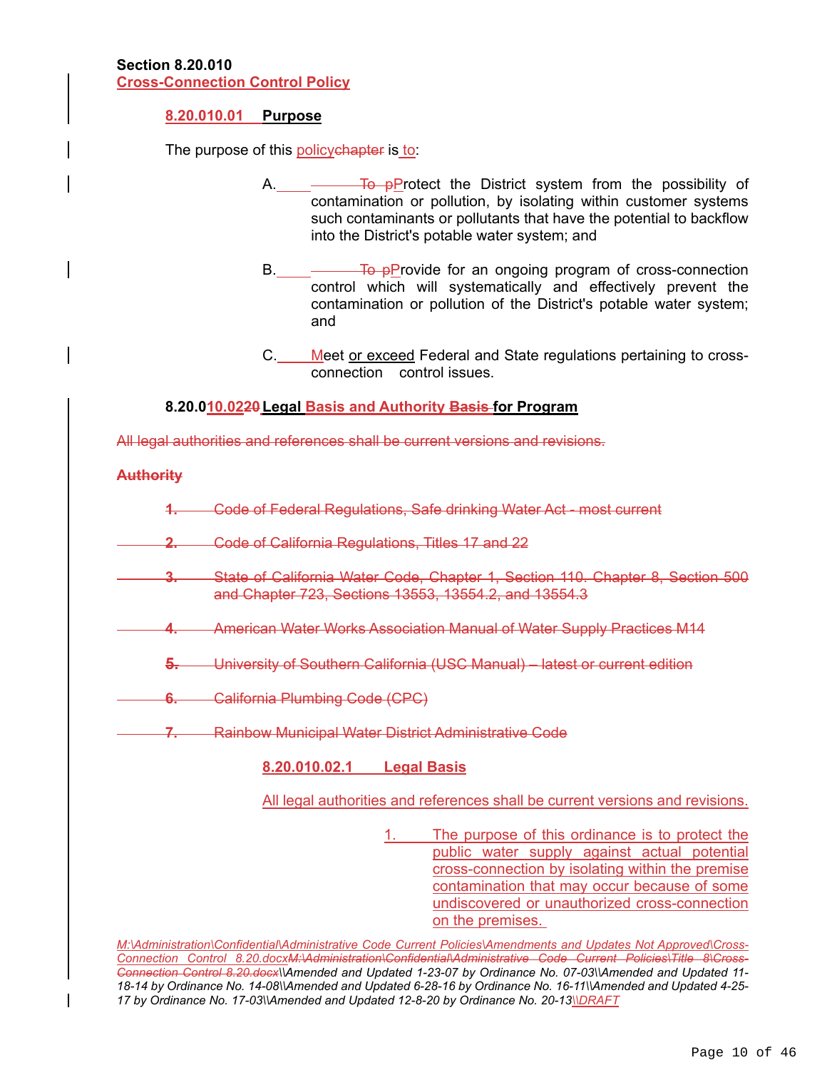### **8.20.010.01 Purpose**

The purpose of this policychapter is to:

- **To pProtect the District system from the possibility of** contamination or pollution, by isolating within customer systems such contaminants or pollutants that have the potential to backflow into the District's potable water system; and
- B. To pProvide for an ongoing program of cross-connection control which will systematically and effectively prevent the contamination or pollution of the District's potable water system; and
- C. Meet or exceed Federal and State regulations pertaining to crossconnection control issues.

# **8.20.010.0220 Legal Basis and Authority Basis for Program**

All legal authorities and references shall be current versions and revisions.

### **Authority**

- **1.** Code of Federal Regulations, Safe drinking Water Act most current
- **2.** Code of California Regulations, Titles 17 and 22
- **3.** State of California Water Code, Chapter 1, Section 110. Chapter 8, Section 500 and Chapter 723, Sections 13553, 13554.2, and 13554.3
- **4.** American Water Works Association Manual of Water Supply Practices M14
	- **5.** University of Southern California (USC Manual) latest or current edition
- **6.** California Plumbing Code (CPC)
- **7.** Rainbow Municipal Water District Administrative Code

# **8.20.010.02.1 Legal Basis**

All legal authorities and references shall be current versions and revisions.

1. The purpose of this ordinance is to protect the public water supply against actual potential cross-connection by isolating within the premise contamination that may occur because of some undiscovered or unauthorized cross-connection on the premises.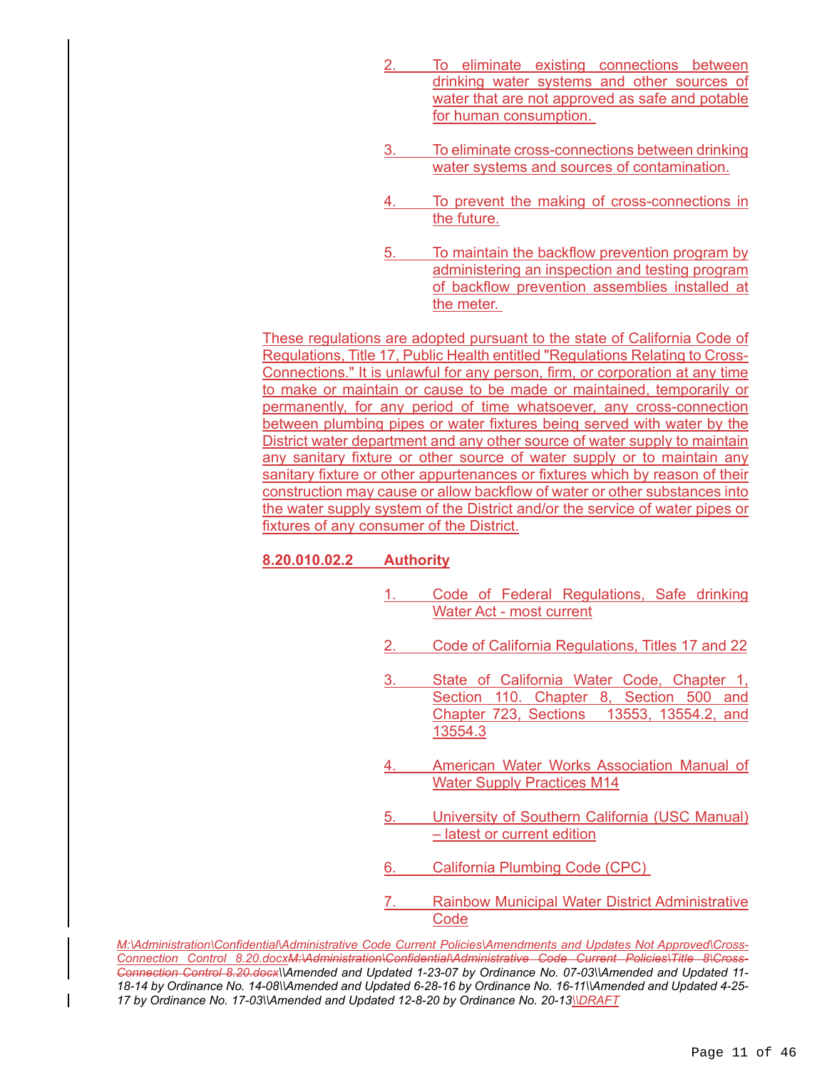- To eliminate existing connections between drinking water systems and other sources of water that are not approved as safe and potable for human consumption.
- To eliminate cross-connections between drinking water systems and sources of contamination.
- To prevent the making of cross-connections in the future.
- 5. To maintain the backflow prevention program by administering an inspection and testing program of backflow prevention assemblies installed at the meter.

These regulations are adopted pursuant to the state of California Code of Regulations, Title 17, Public Health entitled "Regulations Relating to Cross-Connections." It is unlawful for any person, firm, or corporation at any time to make or maintain or cause to be made or maintained, temporarily or permanently, for any period of time whatsoever, any cross-connection between plumbing pipes or water fixtures being served with water by the District water department and any other source of water supply to maintain any sanitary fixture or other source of water supply or to maintain any sanitary fixture or other appurtenances or fixtures which by reason of their construction may cause or allow backflow of water or other substances into the water supply system of the District and/or the service of water pipes or fixtures of any consumer of the District.

# **8.20.010.02.2 Authority**

- 1. Code of Federal Regulations, Safe drinking Water Act - most current
- 2. Code of California Regulations, Titles 17 and 22
- State of California Water Code, Chapter 1, Section 110. Chapter 8, Section 500 and Chapter 723, Sections 13553, 13554.2, and 13554.3
- 4. American Water Works Association Manual of Water Supply Practices M14
- 5. University of Southern California (USC Manual) – latest or current edition
- 6. California Plumbing Code (CPC)
- 7. Rainbow Municipal Water District Administrative **Code**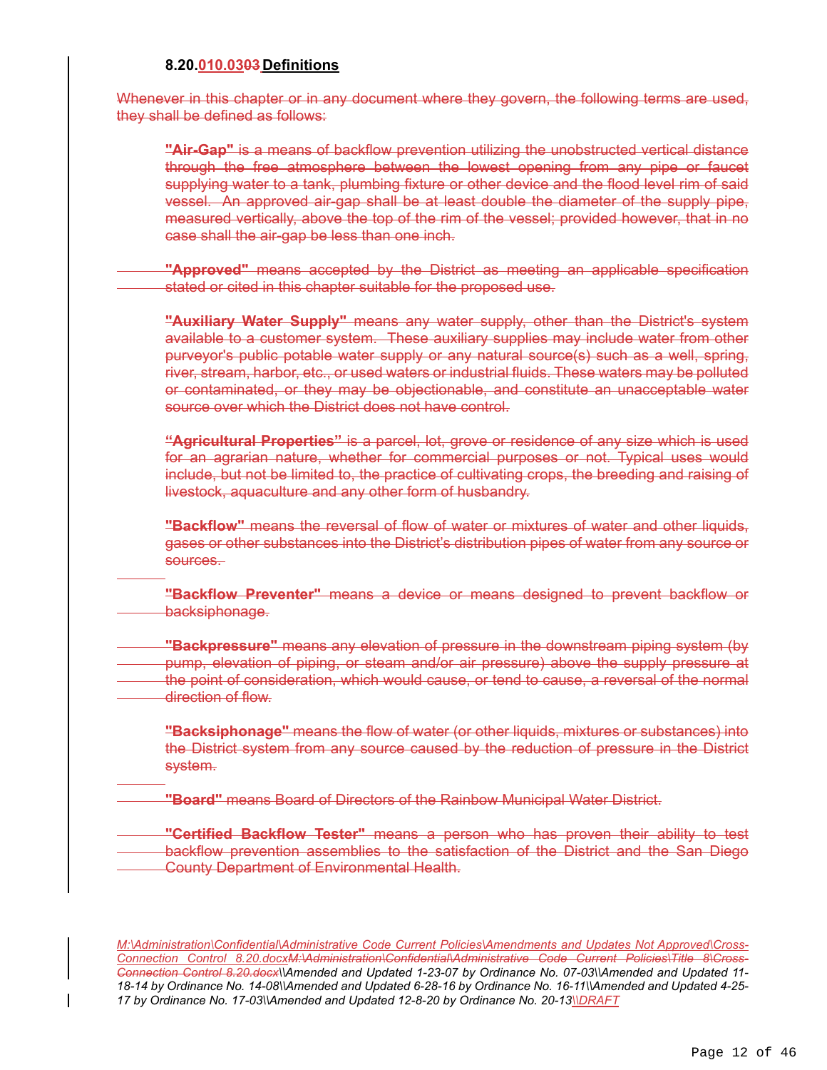#### **8.20.010.0303 Definitions**

 $\overline{a}$ 

 $\overline{a}$ 

Whenever in this chapter or in any document where they govern, the following terms are used, they shall be defined as follows:

**"Air-Gap"** is a means of backflow prevention utilizing the unobstructed vertical distance through the free atmosphere between the lowest opening from any pipe or faucet supplying water to a tank, plumbing fixture or other device and the flood level rim of said vessel. An approved air-gap shall be at least double the diameter of the supply pipe, measured vertically, above the top of the rim of the vessel; provided however, that in no case shall the air-gap be less than one inch.

**"Approved"** means accepted by the District as meeting an applicable specification stated or cited in this chapter suitable for the proposed use.

**"Auxiliary Water Supply"** means any water supply, other than the District's system available to a customer system. These auxiliary supplies may include water from other purveyor's public potable water supply or any natural source(s) such as a well, spring, river, stream, harbor, etc., or used waters or industrial fluids. These waters may be polluted or contaminated, or they may be objectionable, and constitute an unacceptable water source over which the District does not have control.

**"Agricultural Properties"** is a parcel, lot, grove or residence of any size which is used for an agrarian nature, whether for commercial purposes or not. Typical uses would include, but not be limited to, the practice of cultivating crops, the breeding and raising of livestock, aquaculture and any other form of husbandry.

**"Backflow"** means the reversal of flow of water or mixtures of water and other liquids, gases or other substances into the District's distribution pipes of water from any source or sources.

**"Backflow Preventer"** means a device or means designed to prevent backflow or backsiphonage.

**"Backpressure"** means any elevation of pressure in the downstream piping system (by pump, elevation of piping, or steam and/or air pressure) above the supply pressure at the point of consideration, which would cause, or tend to cause, a reversal of the normal direction of flow.

**"Backsiphonage"** means the flow of water (or other liquids, mixtures or substances) into the District system from any source caused by the reduction of pressure in the District system.

**"Board"** means Board of Directors of the Rainbow Municipal Water District.

**"Certified Backflow Tester"** means a person who has proven their ability to test backflow prevention assemblies to the satisfaction of the District and the San Diego County Department of Environmental Health.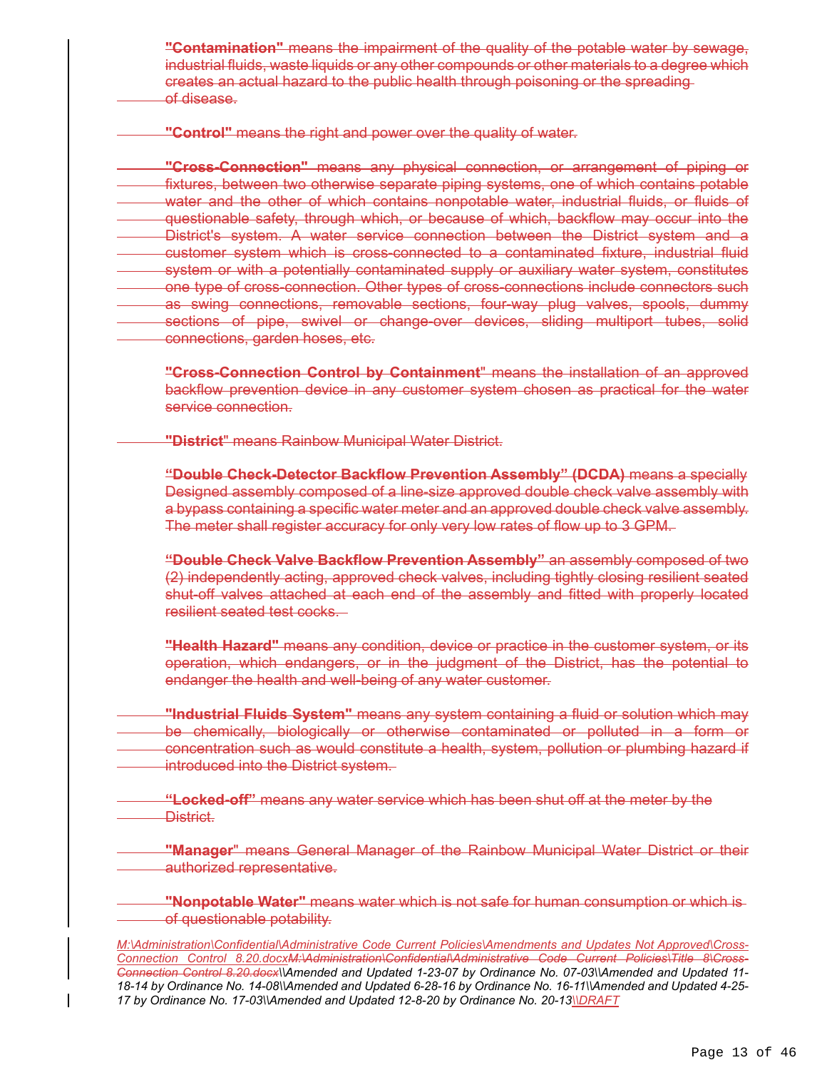**"Contamination"** means the impairment of the quality of the potable water by sewage, industrial fluids, waste liquids or any other compounds or other materials to a degree which creates an actual hazard to the public health through poisoning or the spreading of disease.

**"Control"** means the right and power over the quality of water.

**"Cross-Connection"** means any physical connection, or arrangement of piping or fixtures, between two otherwise separate piping systems, one of which contains potable water and the other of which contains nonpotable water, industrial fluids, or fluids of questionable safety, through which, or because of which, backflow may occur into the District's system. A water service connection between the District system and a customer system which is cross-connected to a contaminated fixture, industrial fluid system or with a potentially contaminated supply or auxiliary water system, constitutes one type of cross-connection. Other types of cross-connections include connectors such as swing connections, removable sections, four-way plug valves, spools, dummy sections of pipe, swivel or change-over devices, sliding multiport tubes, solid connections, garden hoses, etc.

**"Cross-Connection Control by Containment**" means the installation of an approved backflow prevention device in any customer system chosen as practical for the water service connection.

**"District**" means Rainbow Municipal Water District.

**"Double Check-Detector Backflow Prevention Assembly" (DCDA)** means a specially Designed assembly composed of a line-size approved double check valve assembly with a bypass containing a specific water meter and an approved double check valve assembly. The meter shall register accuracy for only very low rates of flow up to 3 GPM.

**"Double Check Valve Backflow Prevention Assembly"** an assembly composed of two (2) independently acting, approved check valves, including tightly closing resilient seated shut-off valves attached at each end of the assembly and fitted with properly located resilient seated test cocks.

**"Health Hazard"** means any condition, device or practice in the customer system, or its operation, which endangers, or in the judgment of the District, has the potential to endanger the health and well-being of any water customer.

**"Industrial Fluids System"** means any system containing a fluid or solution which may be chemically, biologically or otherwise contaminated or polluted in a form or concentration such as would constitute a health, system, pollution or plumbing hazard if introduced into the District system.

 **"Locked-off"** means any water service which has been shut off at the meter by the District.

**"Manager**" means General Manager of the Rainbow Municipal Water District or their authorized representative.

**"Nonpotable Water"** means water which is not safe for human consumption or which is of questionable potability.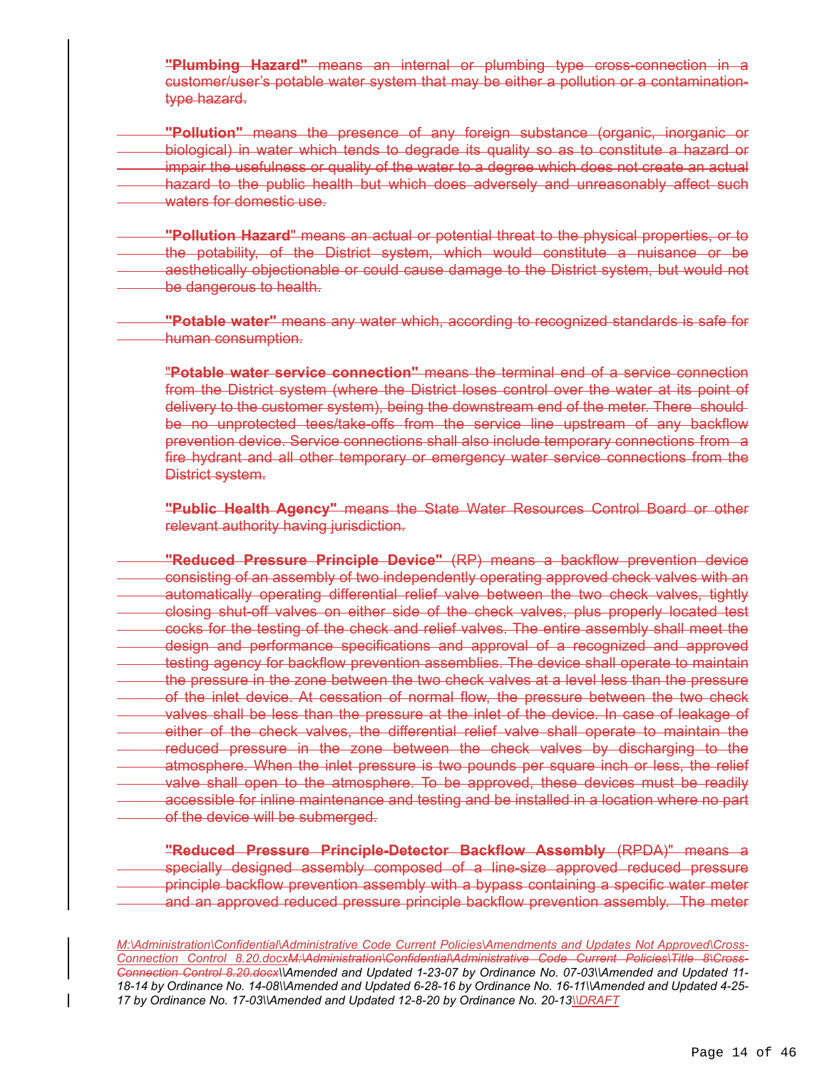**"Plumbing Hazard"** means an internal or plumbing type cross-connection in a customer/user's potable water system that may be either a pollution or a contaminationtype hazard.

**"Pollution"** means the presence of any foreign substance (organic, inorganic or biological) in water which tends to degrade its quality so as to constitute a hazard or impair the usefulness or quality of the water to a degree which does not create an actual hazard to the public health but which does adversely and unreasonably affect such waters for domestic use.

**"Pollution Hazard**" means an actual or potential threat to the physical properties, or to the potability, of the District system, which would constitute a nuisance or be aesthetically objectionable or could cause damage to the District system, but would not be dangerous to health.

**"Potable water"** means any water which, according to recognized standards is safe for human consumption.

"**Potable water service connection"** means the terminal end of a service connection from the District system (where the District loses control over the water at its point of delivery to the customer system), being the downstream end of the meter. There should be no unprotected tees/take-offs from the service line upstream of any backflow prevention device. Service connections shall also include temporary connections from a fire hydrant and all other temporary or emergency water service connections from the District system.

**"Public Health Agency"** means the State Water Resources Control Board or other relevant authority having jurisdiction.

**"Reduced Pressure Principle Device"** (RP) means a backflow prevention device consisting of an assembly of two independently operating approved check valves with an automatically operating differential relief valve between the two check valves, tightly closing shut-off valves on either side of the check valves, plus properly located test cocks for the testing of the check and relief valves. The entire assembly shall meet the design and performance specifications and approval of a recognized and approved testing agency for backflow prevention assemblies. The device shall operate to maintain the pressure in the zone between the two check valves at a level less than the pressure of the inlet device. At cessation of normal flow, the pressure between the two check valves shall be less than the pressure at the inlet of the device. In case of leakage of either of the check valves, the differential relief valve shall operate to maintain the reduced pressure in the zone between the check valves by discharging to the atmosphere. When the inlet pressure is two pounds per square inch or less, the relief valve shall open to the atmosphere. To be approved, these devices must be readily accessible for inline maintenance and testing and be installed in a location where no part of the device will be submerged.

**"Reduced Pressure Principle-Detector Backflow Assembly** (RPDA)" means a specially designed assembly composed of a line-size approved reduced pressure principle backflow prevention assembly with a bypass containing a specific water meter and an approved reduced pressure principle backflow prevention assembly. The meter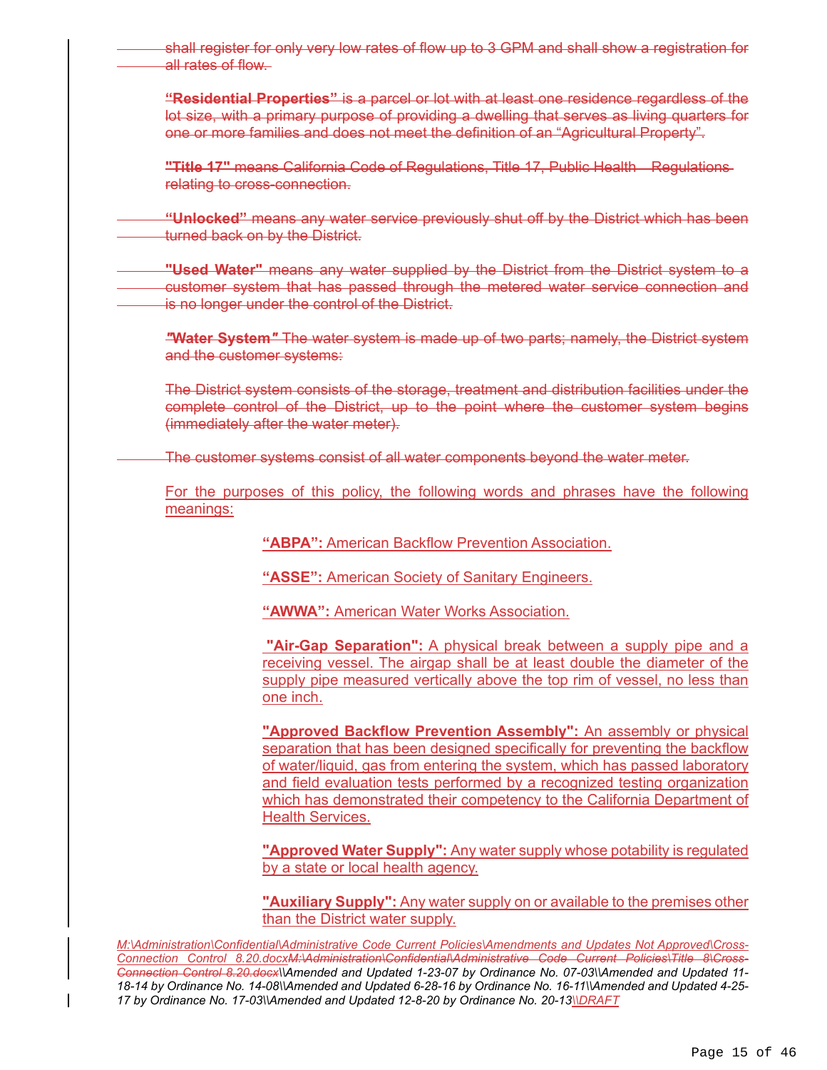shall register for only very low rates of flow up to 3 GPM and shall show a registration for all rates of flow. **"Residential Properties"** is a parcel or lot with at least one residence regardless of the lot size, with a primary purpose of providing a dwelling that serves as living quarters for one or more families and does not meet the definition of an "Agricultural Property". **"Title 17"** means California Code of Regulations, Title 17, Public Health Regulations relating to cross-connection.  **"Unlocked"** means any water service previously shut off by the District which has been turned back on by the District. **"Used Water"** means any water supplied by the District from the District system to a customer system that has passed through the metered water service connection and is no longer under the control of the District. *"***Water System***"* The water system is made up of two parts; namely, the District system and the customer systems: The District system consists of the storage, treatment and distribution facilities under the complete control of the District, up to the point where the customer system begins (immediately after the water meter). The customer systems consist of all water components beyond the water meter. For the purposes of this policy, the following words and phrases have the following meanings: **"ABPA":** American Backflow Prevention Association.

**"ASSE":** American Society of Sanitary Engineers.

**"AWWA":** American Water Works Association.

**"Air-Gap Separation":** A physical break between a supply pipe and a receiving vessel. The airgap shall be at least double the diameter of the supply pipe measured vertically above the top rim of vessel, no less than one inch.

**"Approved Backflow Prevention Assembly":** An assembly or physical separation that has been designed specifically for preventing the backflow of water/liquid, gas from entering the system, which has passed laboratory and field evaluation tests performed by a recognized testing organization which has demonstrated their competency to the California Department of Health Services.

**"Approved Water Supply":** Any water supply whose potability is regulated by a state or local health agency.

**"Auxiliary Supply":** Any water supply on or available to the premises other than the District water supply.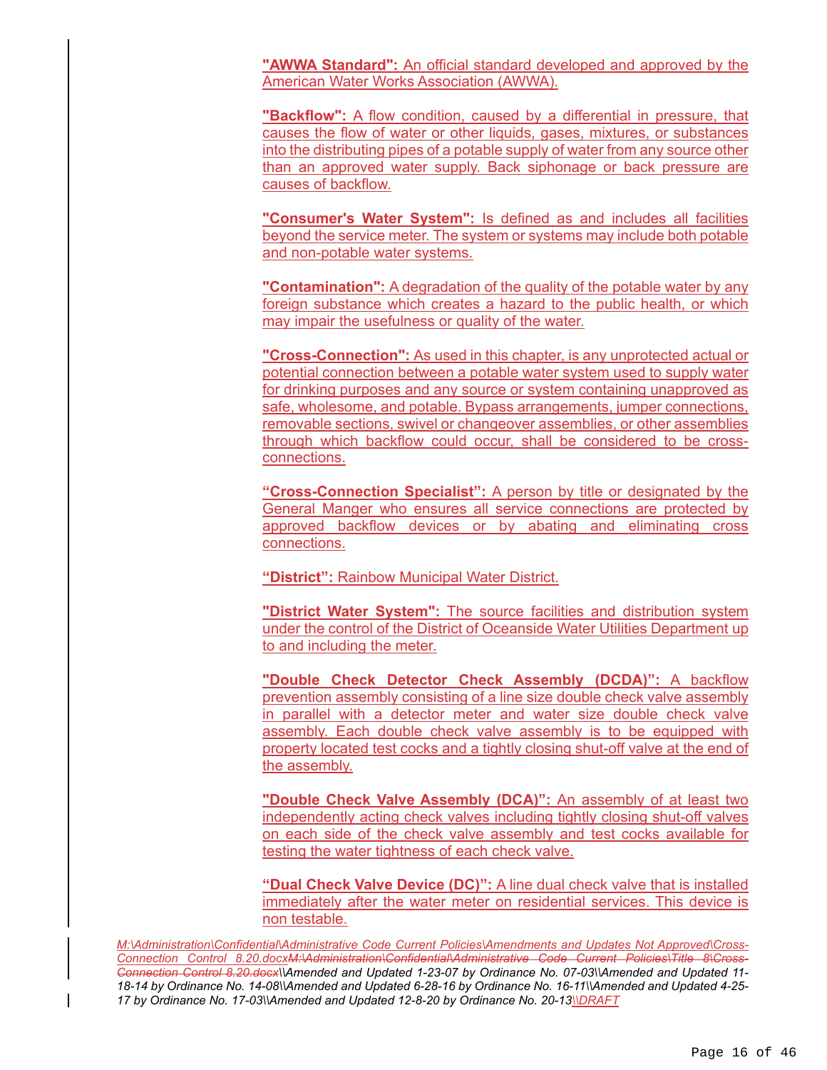**"AWWA Standard":** An official standard developed and approved by the American Water Works Association (AWWA).

**"Backflow":** A flow condition, caused by a differential in pressure, that causes the flow of water or other liquids, gases, mixtures, or substances into the distributing pipes of a potable supply of water from any source other than an approved water supply. Back siphonage or back pressure are causes of backflow.

**"Consumer's Water System":** Is defined as and includes all facilities beyond the service meter. The system or systems may include both potable and non-potable water systems.

**"Contamination":** A degradation of the quality of the potable water by any foreign substance which creates a hazard to the public health, or which may impair the usefulness or quality of the water.

**"Cross-Connection":** As used in this chapter, is any unprotected actual or potential connection between a potable water system used to supply water for drinking purposes and any source or system containing unapproved as safe, wholesome, and potable. Bypass arrangements, jumper connections, removable sections, swivel or changeover assemblies, or other assemblies through which backflow could occur, shall be considered to be crossconnections.

**"Cross-Connection Specialist":** A person by title or designated by the General Manger who ensures all service connections are protected by approved backflow devices or by abating and eliminating cross connections.

**"District":** Rainbow Municipal Water District.

**"District Water System":** The source facilities and distribution system under the control of the District of Oceanside Water Utilities Department up to and including the meter.

**"Double Check Detector Check Assembly (DCDA)":** A backflow prevention assembly consisting of a line size double check valve assembly in parallel with a detector meter and water size double check valve assembly. Each double check valve assembly is to be equipped with property located test cocks and a tightly closing shut-off valve at the end of the assembly.

**"Double Check Valve Assembly (DCA)":** An assembly of at least two independently acting check valves including tightly closing shut-off valves on each side of the check valve assembly and test cocks available for testing the water tightness of each check valve.

**"Dual Check Valve Device (DC)":** A line dual check valve that is installed immediately after the water meter on residential services. This device is non testable.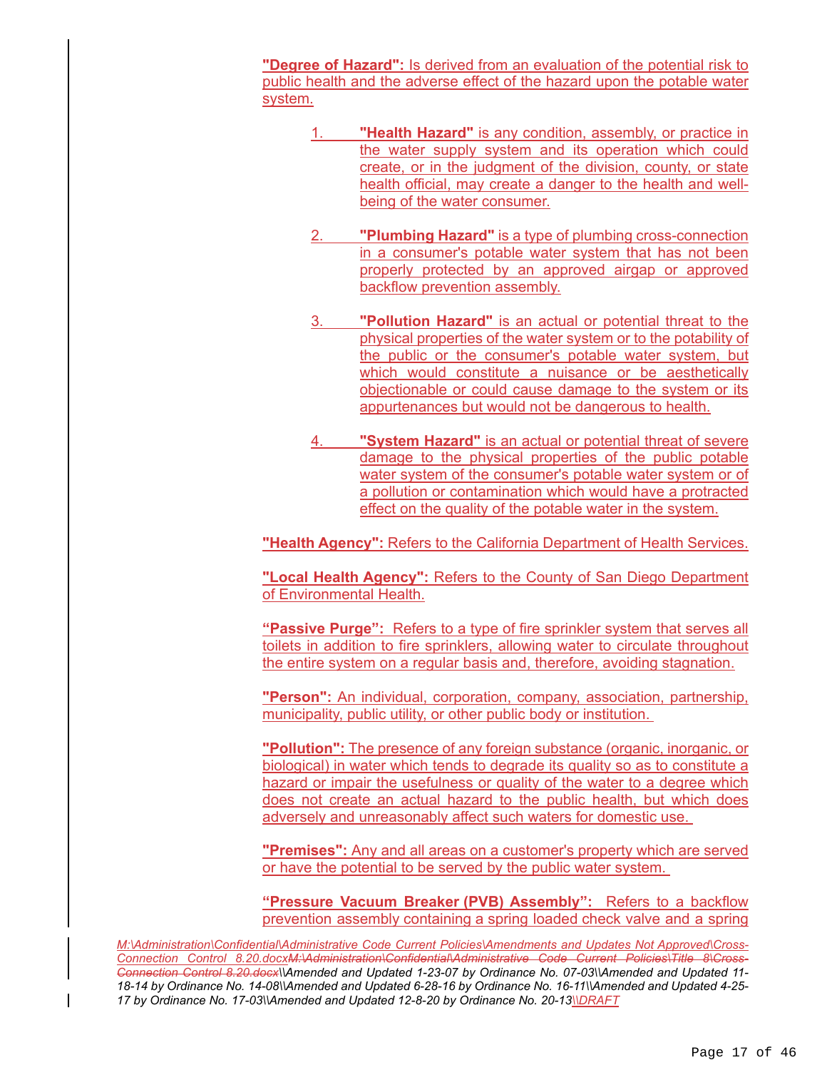**"Degree of Hazard":** Is derived from an evaluation of the potential risk to public health and the adverse effect of the hazard upon the potable water system.

- 1. **"Health Hazard"** is any condition, assembly, or practice in the water supply system and its operation which could create, or in the judgment of the division, county, or state health official, may create a danger to the health and wellbeing of the water consumer.
- 2. **"Plumbing Hazard"** is a type of plumbing cross-connection in a consumer's potable water system that has not been properly protected by an approved airgap or approved backflow prevention assembly.
- 3. **"Pollution Hazard"** is an actual or potential threat to the physical properties of the water system or to the potability of the public or the consumer's potable water system, but which would constitute a nuisance or be aesthetically objectionable or could cause damage to the system or its appurtenances but would not be dangerous to health.
- 4. **"System Hazard"** is an actual or potential threat of severe damage to the physical properties of the public potable water system of the consumer's potable water system or of a pollution or contamination which would have a protracted effect on the quality of the potable water in the system.

**"Health Agency":** Refers to the California Department of Health Services.

**"Local Health Agency":** Refers to the County of San Diego Department of Environmental Health.

**"Passive Purge":** Refers to a type of fire sprinkler system that serves all toilets in addition to fire sprinklers, allowing water to circulate throughout the entire system on a regular basis and, therefore, avoiding stagnation.

**"Person":** An individual, corporation, company, association, partnership, municipality, public utility, or other public body or institution.

**"Pollution":** The presence of any foreign substance (organic, inorganic, or biological) in water which tends to degrade its quality so as to constitute a hazard or impair the usefulness or quality of the water to a degree which does not create an actual hazard to the public health, but which does adversely and unreasonably affect such waters for domestic use.

**"Premises":** Any and all areas on a customer's property which are served or have the potential to be served by the public water system.

**"Pressure Vacuum Breaker (PVB) Assembly":** Refers to a backflow prevention assembly containing a spring loaded check valve and a spring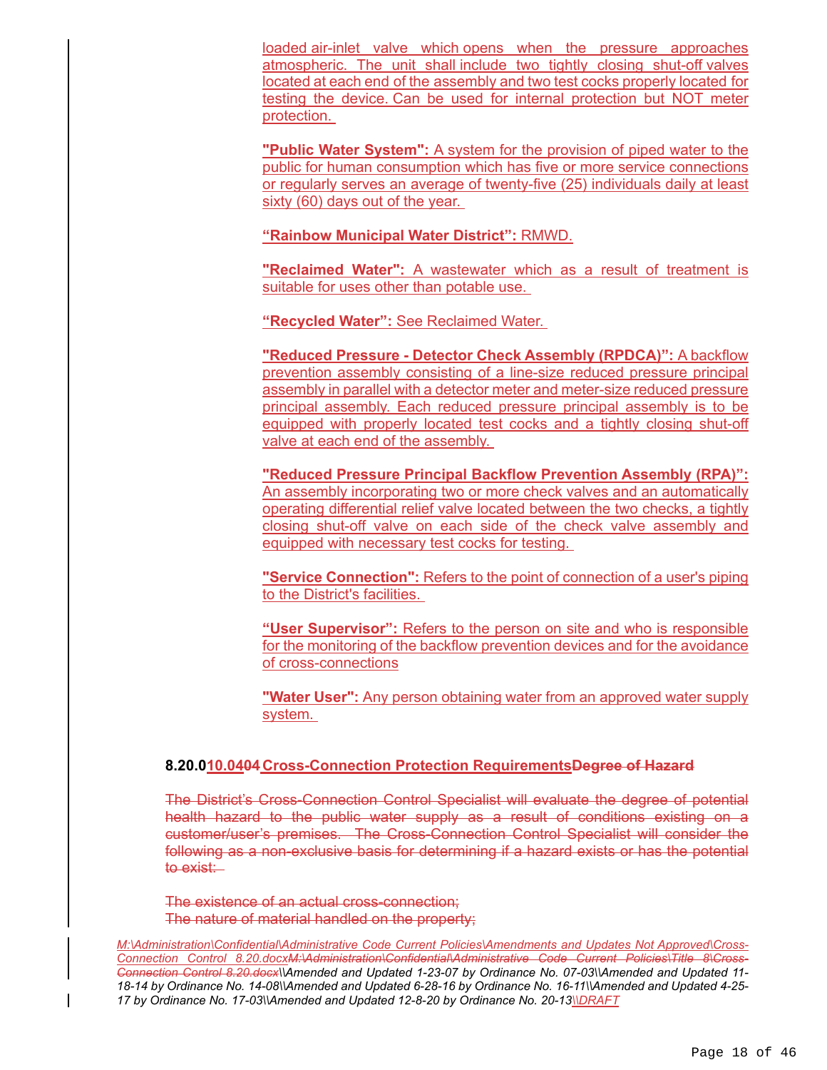loaded air-inlet valve which opens when the pressure approaches atmospheric. The unit shall include two tightly closing shut-off valves located at each end of the assembly and two test cocks properly located for testing the device. Can be used for internal protection but NOT meter protection.

**"Public Water System":** A system for the provision of piped water to the public for human consumption which has five or more service connections or regularly serves an average of twenty-five (25) individuals daily at least sixty (60) days out of the year.

**"Rainbow Municipal Water District":** RMWD.

**"Reclaimed Water":** A wastewater which as a result of treatment is suitable for uses other than potable use.

**"Recycled Water":** See Reclaimed Water.

**"Reduced Pressure - Detector Check Assembly (RPDCA)":** A backflow prevention assembly consisting of a line-size reduced pressure principal assembly in parallel with a detector meter and meter-size reduced pressure principal assembly. Each reduced pressure principal assembly is to be equipped with properly located test cocks and a tightly closing shut-off valve at each end of the assembly.

**"Reduced Pressure Principal Backflow Prevention Assembly (RPA)":**  An assembly incorporating two or more check valves and an automatically operating differential relief valve located between the two checks, a tightly closing shut-off valve on each side of the check valve assembly and equipped with necessary test cocks for testing.

**"Service Connection":** Refers to the point of connection of a user's piping to the District's facilities.

**"User Supervisor":** Refers to the person on site and who is responsible for the monitoring of the backflow prevention devices and for the avoidance of cross-connections

**"Water User":** Any person obtaining water from an approved water supply system.

# **8.20.010.0404 Cross-Connection Protection RequirementsDegree of Hazard**

The District's Cross-Connection Control Specialist will evaluate the degree of potential health hazard to the public water supply as a result of conditions existing on a customer/user's premises. The Cross-Connection Control Specialist will consider the following as a non-exclusive basis for determining if a hazard exists or has the potential to exist:

The existence of an actual cross-connection; The nature of material handled on the property;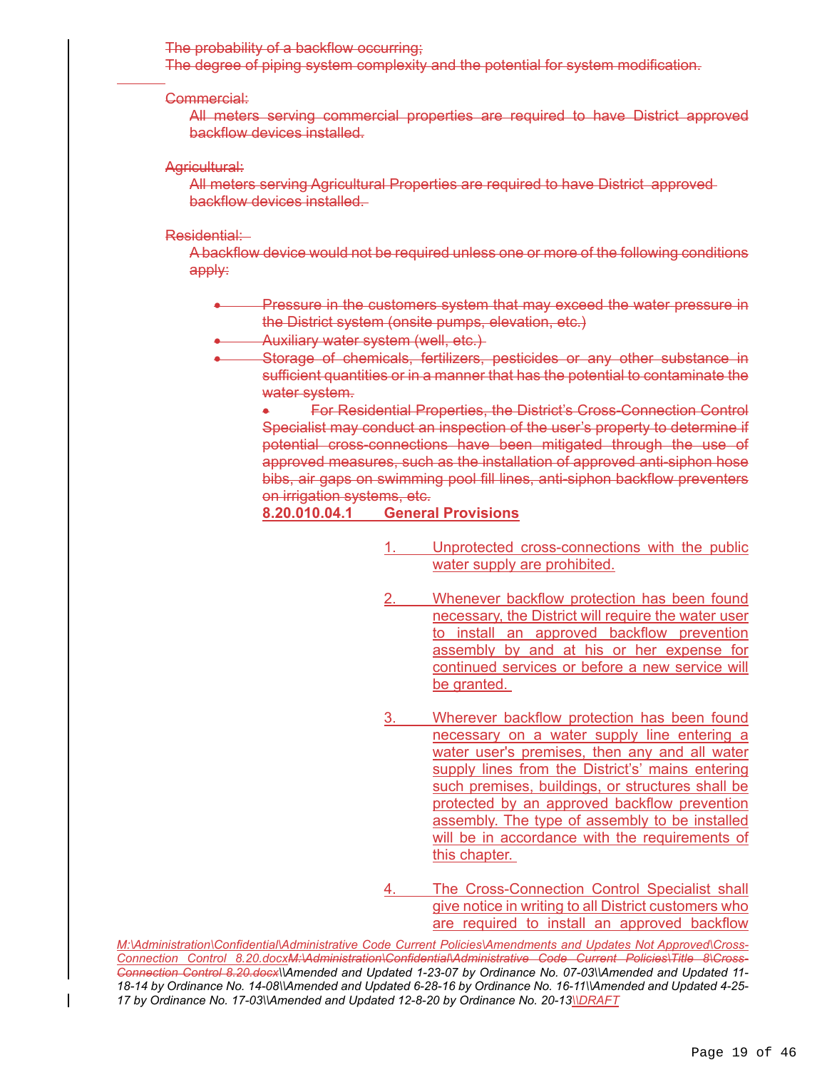#### The probability of a backflow occurring;

The degree of piping system complexity and the potential for system modification.

#### Commercial:

 $\overline{a}$ 

All meters serving commercial properties are required to have District approved backflow devices installed.

#### Agricultural:

All meters serving Agricultural Properties are required to have District approved backflow devices installed.

#### Residential:

A backflow device would not be required unless one or more of the following conditions apply:

- Pressure in the customers system that may exceed the water pressure in the District system (onsite pumps, elevation, etc.)
- Auxiliary water system (well, etc.)
	- Storage of chemicals, fertilizers, pesticides or any other substance in sufficient quantities or in a manner that has the potential to contaminate the water system.

 For Residential Properties, the District's Cross-Connection Control Specialist may conduct an inspection of the user's property to determine if potential cross-connections have been mitigated through the use of approved measures, such as the installation of approved anti-siphon hose bibs, air gaps on swimming pool fill lines, anti-siphon backflow preventers on irrigation systems, etc.

### **8.20.010.04.1 General Provisions**

- 1. Unprotected cross-connections with the public water supply are prohibited.
- Whenever backflow protection has been found necessary, the District will require the water user to install an approved backflow prevention assembly by and at his or her expense for continued services or before a new service will be granted.
- 3. Wherever backflow protection has been found necessary on a water supply line entering a water user's premises, then any and all water supply lines from the District's' mains entering such premises, buildings, or structures shall be protected by an approved backflow prevention assembly. The type of assembly to be installed will be in accordance with the requirements of this chapter.
- 4. The Cross-Connection Control Specialist shall give notice in writing to all District customers who are required to install an approved backflow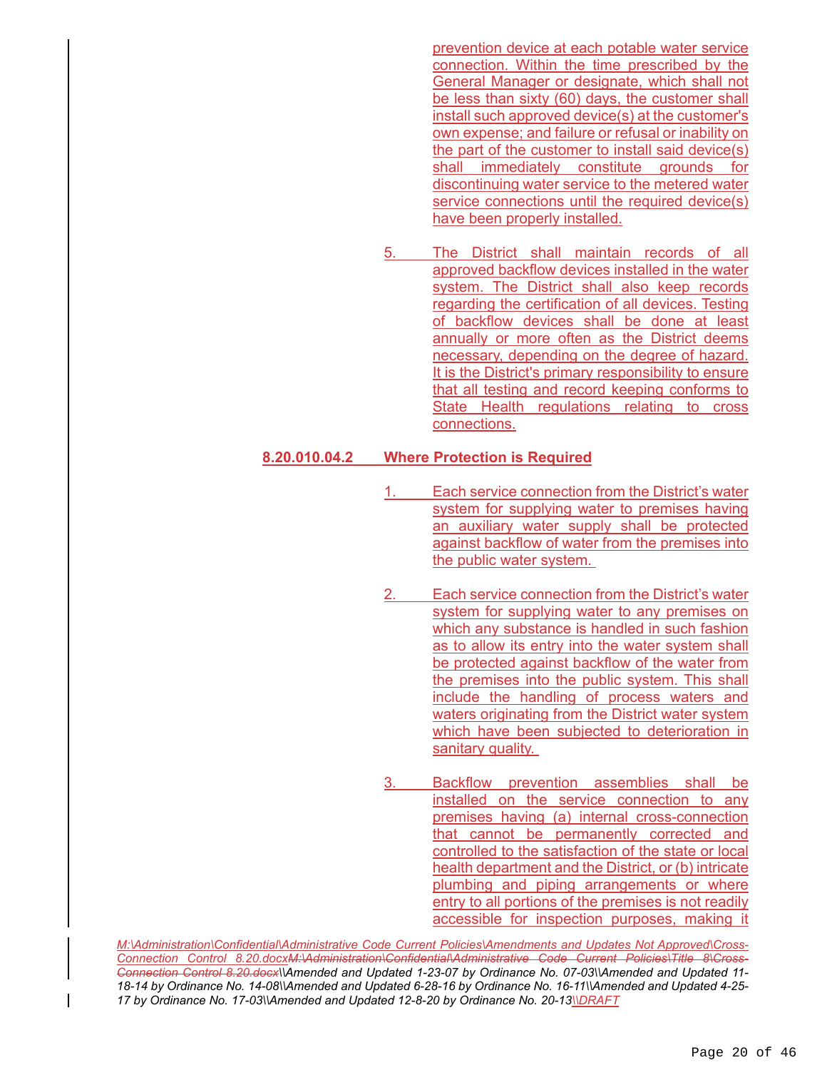prevention device at each potable water service connection. Within the time prescribed by the General Manager or designate, which shall not be less than sixty (60) days, the customer shall install such approved device(s) at the customer's own expense; and failure or refusal or inability on the part of the customer to install said device(s) shall immediately constitute grounds for discontinuing water service to the metered water service connections until the required device(s) have been properly installed.

5. The District shall maintain records of all approved backflow devices installed in the water system. The District shall also keep records regarding the certification of all devices. Testing of backflow devices shall be done at least annually or more often as the District deems necessary, depending on the degree of hazard. It is the District's primary responsibility to ensure that all testing and record keeping conforms to State Health regulations relating to cross connections.

#### **8.20.010.04.2 Where Protection is Required**

- 1. Each service connection from the District's water system for supplying water to premises having an auxiliary water supply shall be protected against backflow of water from the premises into the public water system.
- Each service connection from the District's water system for supplying water to any premises on which any substance is handled in such fashion as to allow its entry into the water system shall be protected against backflow of the water from the premises into the public system. This shall include the handling of process waters and waters originating from the District water system which have been subjected to deterioration in sanitary quality.
- 3. Backflow prevention assemblies shall be installed on the service connection to any premises having (a) internal cross-connection that cannot be permanently corrected and controlled to the satisfaction of the state or local health department and the District, or (b) intricate plumbing and piping arrangements or where entry to all portions of the premises is not readily accessible for inspection purposes, making it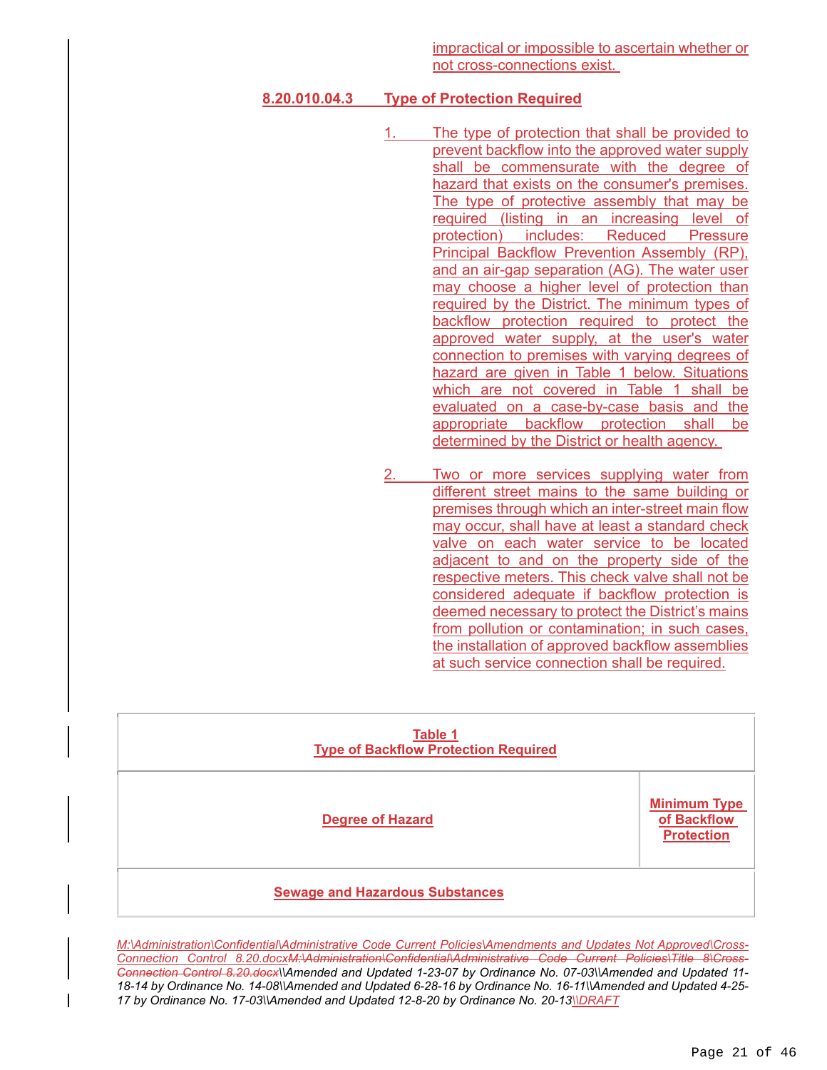# **8.20.010.04.3 Type of Protection Required**

- 1. The type of protection that shall be provided to prevent backflow into the approved water supply shall be commensurate with the degree of hazard that exists on the consumer's premises. The type of protective assembly that may be required (listing in an increasing level of protection) includes: Reduced Pressure Principal Backflow Prevention Assembly (RP), and an air-gap separation (AG). The water user may choose a higher level of protection than required by the District. The minimum types of backflow protection required to protect the approved water supply, at the user's water connection to premises with varying degrees of hazard are given in Table 1 below. Situations which are not covered in Table 1 shall be evaluated on a case-by-case basis and the appropriate backflow protection shall be determined by the District or health agency.
- Two or more services supplying water from different street mains to the same building or premises through which an inter-street main flow may occur, shall have at least a standard check valve on each water service to be located adjacent to and on the property side of the respective meters. This check valve shall not be considered adequate if backflow protection is deemed necessary to protect the District's mains from pollution or contamination; in such cases, the installation of approved backflow assemblies at such service connection shall be required.

| Table 1<br><b>Type of Backflow Protection Required</b> |                                                         |  |
|--------------------------------------------------------|---------------------------------------------------------|--|
| <b>Degree of Hazard</b>                                | <b>Minimum Type</b><br>of Backflow<br><b>Protection</b> |  |
| <b>Sewage and Hazardous Substances</b>                 |                                                         |  |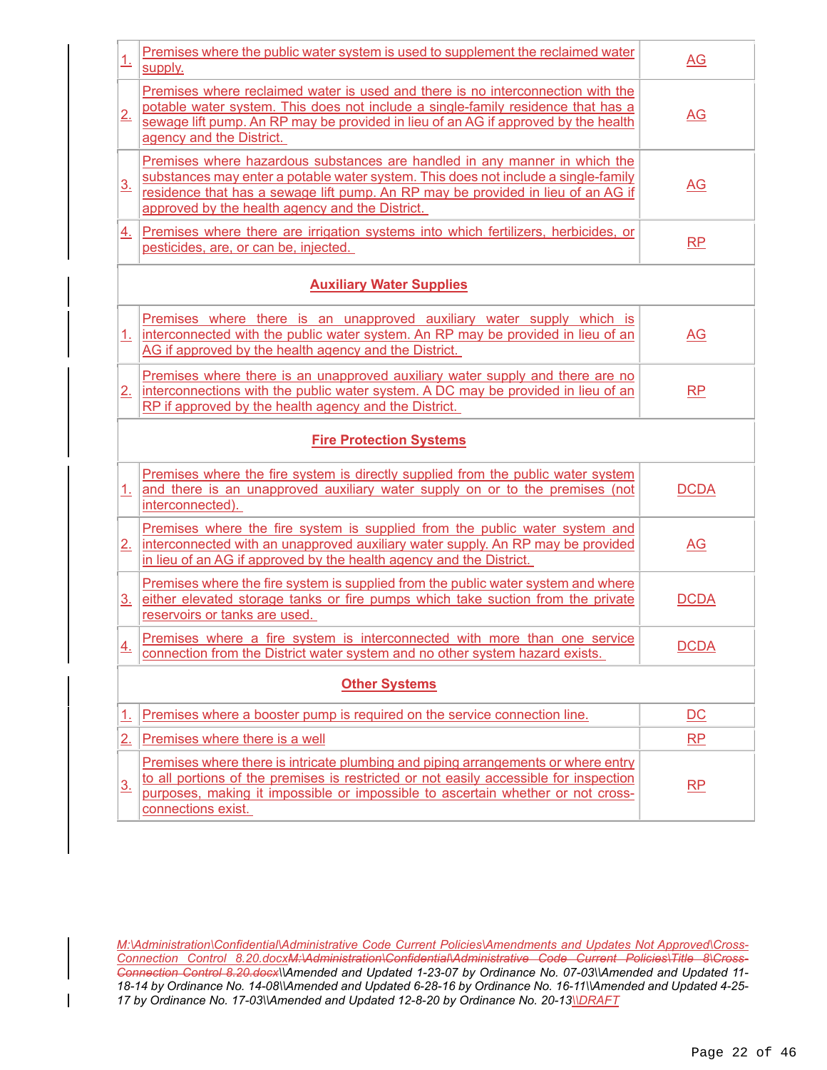| 1.                   | Premises where the public water system is used to supplement the reclaimed water<br>supply.                                                                                                                                                                                                             | $\underline{AG}$          |  |  |  |
|----------------------|---------------------------------------------------------------------------------------------------------------------------------------------------------------------------------------------------------------------------------------------------------------------------------------------------------|---------------------------|--|--|--|
| 2.                   | Premises where reclaimed water is used and there is no interconnection with the<br>potable water system. This does not include a single-family residence that has a<br>sewage lift pump. An RP may be provided in lieu of an AG if approved by the health<br>agency and the District.                   | $\underline{\mathsf{AG}}$ |  |  |  |
| $\underline{3}$ .    | Premises where hazardous substances are handled in any manner in which the<br>substances may enter a potable water system. This does not include a single-family<br>residence that has a sewage lift pump. An RP may be provided in lieu of an AG if<br>approved by the health agency and the District. | $\underline{\mathsf{AG}}$ |  |  |  |
| 4.                   | Premises where there are irrigation systems into which fertilizers, herbicides, or<br>pesticides, are, or can be, injected.                                                                                                                                                                             | RP                        |  |  |  |
|                      | <b>Auxiliary Water Supplies</b>                                                                                                                                                                                                                                                                         |                           |  |  |  |
| $\perp$              | Premises where there is an unapproved auxiliary water supply which is<br>interconnected with the public water system. An RP may be provided in lieu of an<br>AG if approved by the health agency and the District.                                                                                      | $\underline{\mathsf{AG}}$ |  |  |  |
| 2.                   | Premises where there is an unapproved auxiliary water supply and there are no<br>interconnections with the public water system. A DC may be provided in lieu of an<br>RP if approved by the health agency and the District.                                                                             | <b>RP</b>                 |  |  |  |
|                      | <b>Fire Protection Systems</b>                                                                                                                                                                                                                                                                          |                           |  |  |  |
|                      | Premises where the fire system is directly supplied from the public water system<br>1. and there is an unapproved auxiliary water supply on or to the premises (not<br>interconnected).                                                                                                                 | <b>DCDA</b>               |  |  |  |
| 2.                   | Premises where the fire system is supplied from the public water system and<br>interconnected with an unapproved auxiliary water supply. An RP may be provided<br>in lieu of an AG if approved by the health agency and the District.                                                                   | AG                        |  |  |  |
| 3 <sub>1</sub>       | Premises where the fire system is supplied from the public water system and where<br>either elevated storage tanks or fire pumps which take suction from the private<br>reservoirs or tanks are used.                                                                                                   | <b>DCDA</b>               |  |  |  |
| $\overline{4}$ .     | Premises where a fire system is interconnected with more than one service<br>connection from the District water system and no other system hazard exists.                                                                                                                                               | <b>DCDA</b>               |  |  |  |
| <b>Other Systems</b> |                                                                                                                                                                                                                                                                                                         |                           |  |  |  |
| <u>1.</u>            | Premises where a booster pump is required on the service connection line.                                                                                                                                                                                                                               | $\overline{DC}$           |  |  |  |
| 2.                   | Premises where there is a well                                                                                                                                                                                                                                                                          | <b>RP</b>                 |  |  |  |
| $\underline{3}$ .    | Premises where there is intricate plumbing and piping arrangements or where entry<br>to all portions of the premises is restricted or not easily accessible for inspection<br>purposes, making it impossible or impossible to ascertain whether or not cross-<br>connections exist.                     | RP                        |  |  |  |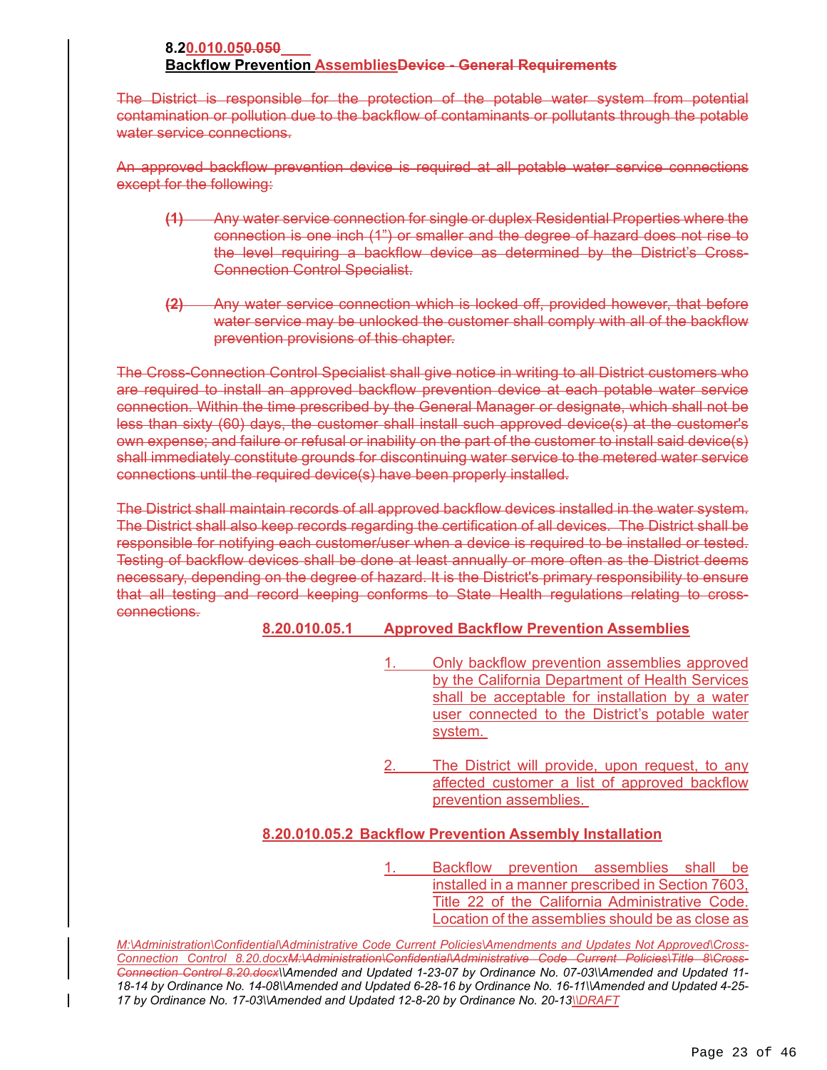# **8.20.010.050.050 Backflow Prevention AssembliesDevice - General Requirements**

The District is responsible for the protection of the potable water system from potential contamination or pollution due to the backflow of contaminants or pollutants through the potable water service connections.

An approved backflow prevention device is required at all potable water service connections except for the following:

- **(1)** Any water service connection for single or duplex Residential Properties where the connection is one inch (1") or smaller and the degree of hazard does not rise to the level requiring a backflow device as determined by the District's Cross-Connection Control Specialist.
- **(2)** Any water service connection which is locked off, provided however, that before water service may be unlocked the customer shall comply with all of the backflow prevention provisions of this chapter.

The Cross-Connection Control Specialist shall give notice in writing to all District customers who are required to install an approved backflow prevention device at each potable water service connection. Within the time prescribed by the General Manager or designate, which shall not be less than sixty (60) days, the customer shall install such approved device(s) at the customer's own expense; and failure or refusal or inability on the part of the customer to install said device(s) shall immediately constitute grounds for discontinuing water service to the metered water service connections until the required device(s) have been properly installed.

The District shall maintain records of all approved backflow devices installed in the water system. The District shall also keep records regarding the certification of all devices. The District shall be responsible for notifying each customer/user when a device is required to be installed or tested. Testing of backflow devices shall be done at least annually or more often as the District deems necessary, depending on the degree of hazard. It is the District's primary responsibility to ensure that all testing and record keeping conforms to State Health regulations relating to crossconnections.

#### **8.20.010.05.1 Approved Backflow Prevention Assemblies**

- 1. Only backflow prevention assemblies approved by the California Department of Health Services shall be acceptable for installation by a water user connected to the District's potable water system.
- The District will provide, upon request, to any affected customer a list of approved backflow prevention assemblies.

# **8.20.010.05.2 Backflow Prevention Assembly Installation**

1. Backflow prevention assemblies shall be installed in a manner prescribed in Section 7603, Title 22 of the California Administrative Code. Location of the assemblies should be as close as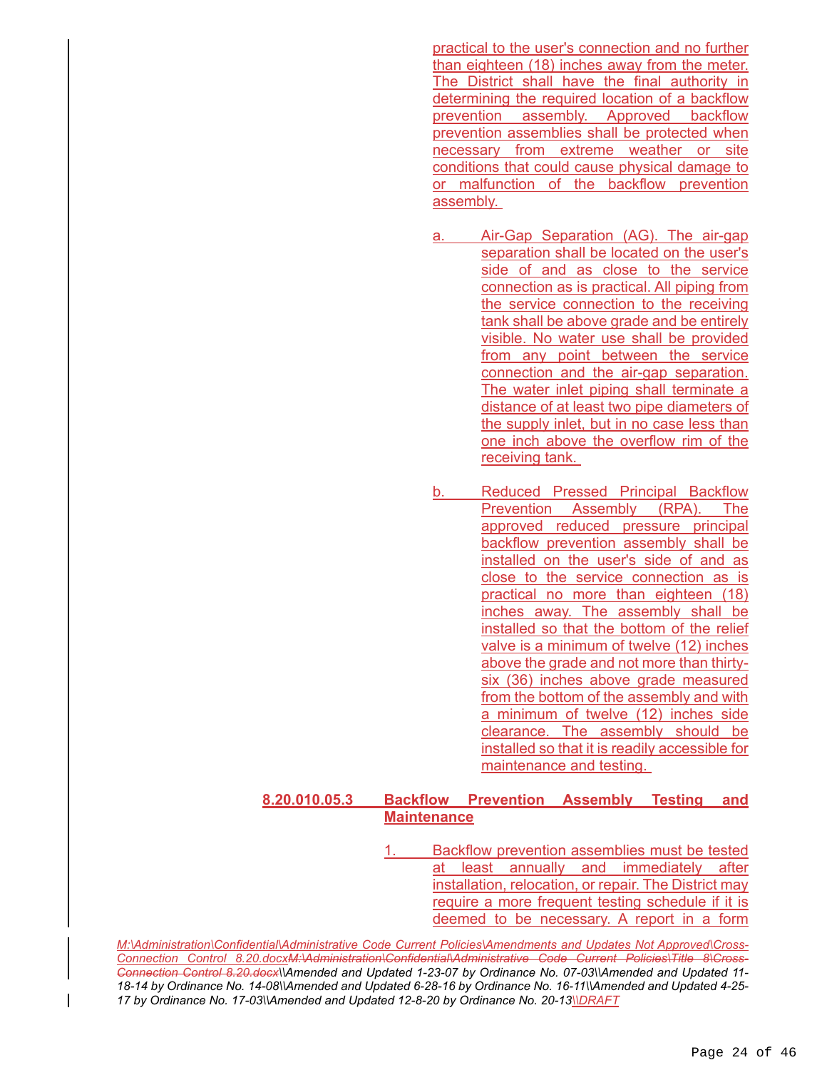practical to the user's connection and no further than eighteen (18) inches away from the meter. The District shall have the final authority in determining the required location of a backflow prevention assembly. Approved backflow prevention assemblies shall be protected when necessary from extreme weather or site conditions that could cause physical damage to or malfunction of the backflow prevention assembly.

- a. Air-Gap Separation (AG). The air-gap separation shall be located on the user's side of and as close to the service connection as is practical. All piping from the service connection to the receiving tank shall be above grade and be entirely visible. No water use shall be provided from any point between the service connection and the air-gap separation. The water inlet piping shall terminate a distance of at least two pipe diameters of the supply inlet, but in no case less than one inch above the overflow rim of the receiving tank.
- b. Reduced Pressed Principal Backflow Prevention Assembly (RPA). The approved reduced pressure principal backflow prevention assembly shall be installed on the user's side of and as close to the service connection as is practical no more than eighteen (18) inches away. The assembly shall be installed so that the bottom of the relief valve is a minimum of twelve (12) inches above the grade and not more than thirtysix (36) inches above grade measured from the bottom of the assembly and with a minimum of twelve (12) inches side clearance. The assembly should be installed so that it is readily accessible for maintenance and testing.

# **8.20.010.05.3 Backflow Prevention Assembly Testing and Maintenance**

Backflow prevention assemblies must be tested at least annually and immediately after installation, relocation, or repair. The District may require a more frequent testing schedule if it is deemed to be necessary. A report in a form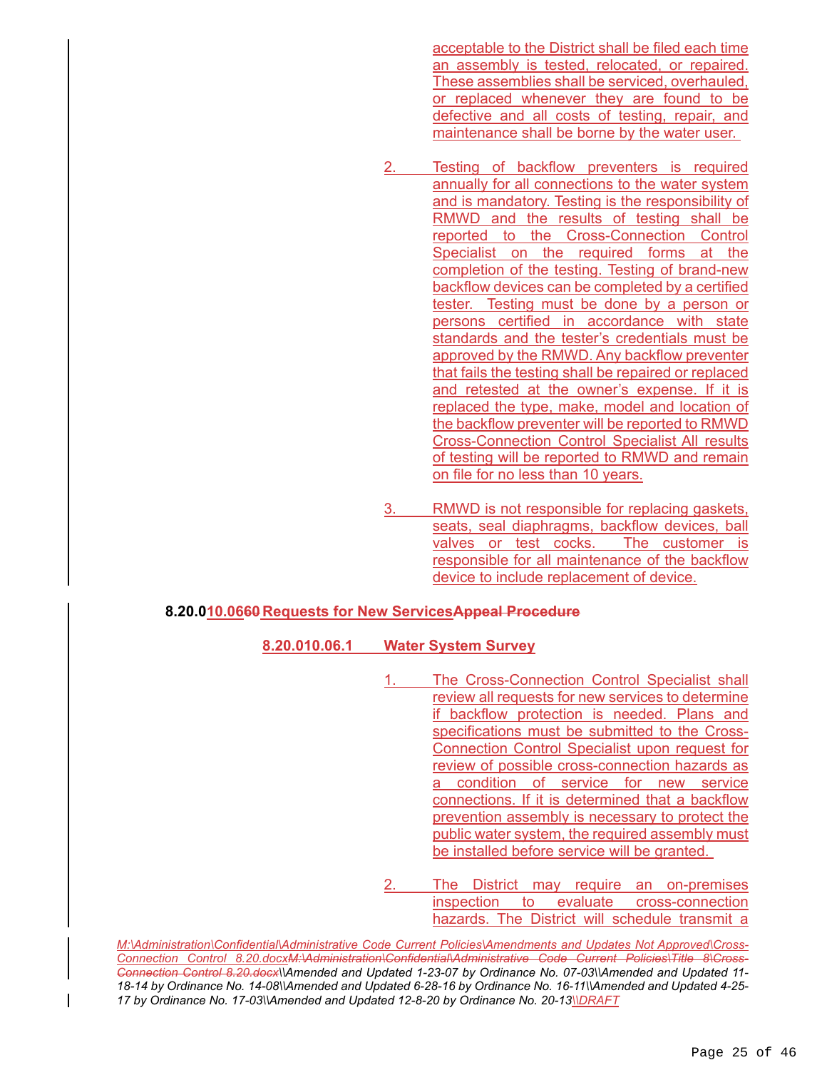acceptable to the District shall be filed each time an assembly is tested, relocated, or repaired. These assemblies shall be serviced, overhauled, or replaced whenever they are found to be defective and all costs of testing, repair, and maintenance shall be borne by the water user.

- Testing of backflow preventers is required annually for all connections to the water system and is mandatory. Testing is the responsibility of RMWD and the results of testing shall be reported to the Cross-Connection Control Specialist on the required forms at the completion of the testing. Testing of brand-new backflow devices can be completed by a certified tester. Testing must be done by a person or persons certified in accordance with state standards and the tester's credentials must be approved by the RMWD. Any backflow preventer that fails the testing shall be repaired or replaced and retested at the owner's expense. If it is replaced the type, make, model and location of the backflow preventer will be reported to RMWD Cross-Connection Control Specialist All results of testing will be reported to RMWD and remain on file for no less than 10 years.
- RMWD is not responsible for replacing gaskets, seats, seal diaphragms, backflow devices, ball valves or test cocks. The customer is responsible for all maintenance of the backflow device to include replacement of device.

#### **8.20.010.0660 Requests for New ServicesAppeal Procedure**

#### **8.20.010.06.1 Water System Survey**

- The Cross-Connection Control Specialist shall review all requests for new services to determine if backflow protection is needed. Plans and specifications must be submitted to the Cross-Connection Control Specialist upon request for review of possible cross-connection hazards as a condition of service for new service connections. If it is determined that a backflow prevention assembly is necessary to protect the public water system, the required assembly must be installed before service will be granted.
- The District may require an on-premises inspection to evaluate cross-connection hazards. The District will schedule transmit a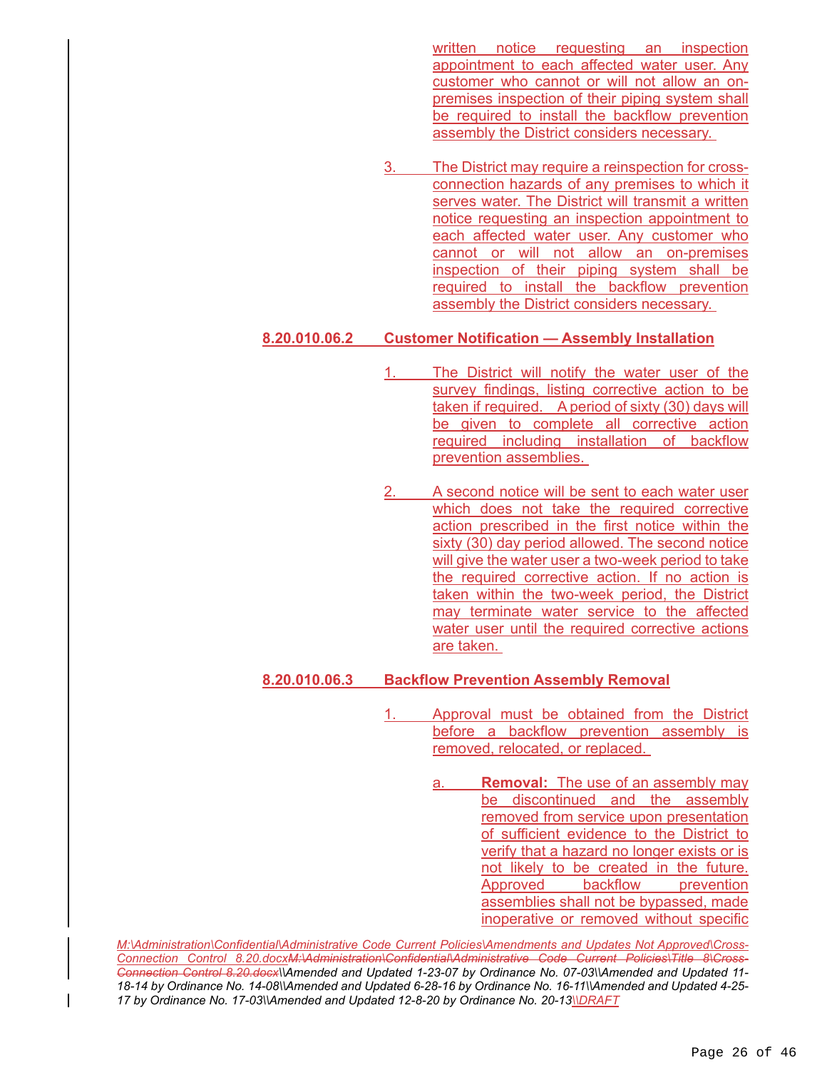written notice requesting an inspection appointment to each affected water user. Any customer who cannot or will not allow an onpremises inspection of their piping system shall be required to install the backflow prevention assembly the District considers necessary.

The District may require a reinspection for crossconnection hazards of any premises to which it serves water. The District will transmit a written notice requesting an inspection appointment to each affected water user. Any customer who cannot or will not allow an on-premises inspection of their piping system shall be required to install the backflow prevention assembly the District considers necessary.

# **8.20.010.06.2 Customer Notification — Assembly Installation**

- 1. The District will notify the water user of the survey findings, listing corrective action to be taken if required. A period of sixty (30) days will be given to complete all corrective action required including installation of backflow prevention assemblies.
- 2. A second notice will be sent to each water user which does not take the required corrective action prescribed in the first notice within the sixty (30) day period allowed. The second notice will give the water user a two-week period to take the required corrective action. If no action is taken within the two-week period, the District may terminate water service to the affected water user until the required corrective actions are taken.

# **8.20.010.06.3 Backflow Prevention Assembly Removal**

- 1. Approval must be obtained from the District before a backflow prevention assembly is removed, relocated, or replaced.
	- a. **Removal:** The use of an assembly may be discontinued and the assembly removed from service upon presentation of sufficient evidence to the District to verify that a hazard no longer exists or is not likely to be created in the future. Approved backflow prevention assemblies shall not be bypassed, made inoperative or removed without specific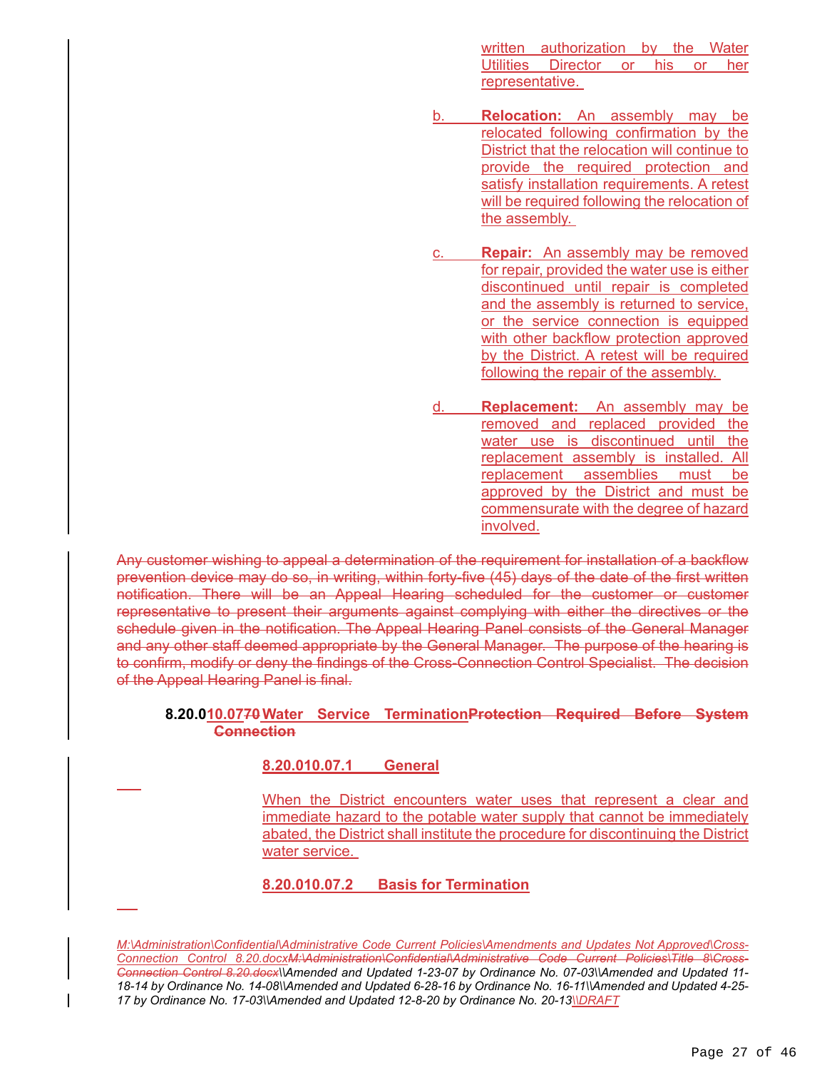written authorization by the Water Utilities Director or his or her representative.

- **Relocation:** An assembly may be relocated following confirmation by the District that the relocation will continue to provide the required protection and satisfy installation requirements. A retest will be required following the relocation of the assembly.
- c. **Repair:** An assembly may be removed for repair, provided the water use is either discontinued until repair is completed and the assembly is returned to service, or the service connection is equipped with other backflow protection approved by the District. A retest will be required following the repair of the assembly.
- d. **Replacement:** An assembly may be removed and replaced provided the water use is discontinued until the replacement assembly is installed. All replacement assemblies must be approved by the District and must be commensurate with the degree of hazard involved.

Any customer wishing to appeal a determination of the requirement for installation of a backflow prevention device may do so, in writing, within forty-five (45) days of the date of the first written notification. There will be an Appeal Hearing scheduled for the customer or customer representative to present their arguments against complying with either the directives or the schedule given in the notification. The Appeal Hearing Panel consists of the General Manager and any other staff deemed appropriate by the General Manager. The purpose of the hearing is to confirm, modify or deny the findings of the Cross-Connection Control Specialist. The decision of the Appeal Hearing Panel is final.

# **8.20.010.0770 Water Service TerminationProtection Required Before System Connection**

# **8.20.010.07.1 General**

 $\overline{a}$ 

 $\overline{a}$ 

When the District encounters water uses that represent a clear and immediate hazard to the potable water supply that cannot be immediately abated, the District shall institute the procedure for discontinuing the District water service.

# **8.20.010.07.2 Basis for Termination**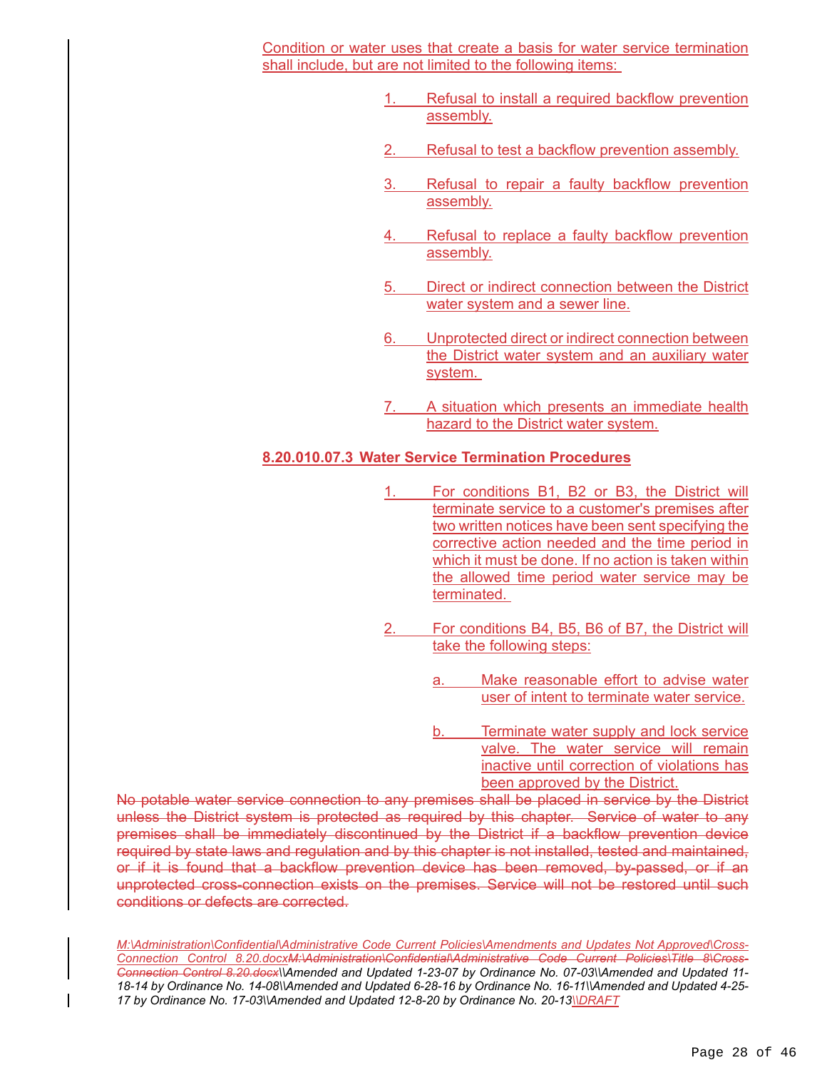Condition or water uses that create a basis for water service termination shall include, but are not limited to the following items:

- Refusal to install a required backflow prevention assembly.
- Refusal to test a backflow prevention assembly.
- Refusal to repair a faulty backflow prevention assembly.
- Refusal to replace a faulty backflow prevention assembly.
- 5. Direct or indirect connection between the District water system and a sewer line.
- Unprotected direct or indirect connection between the District water system and an auxiliary water system.
- A situation which presents an immediate health hazard to the District water system.

# **8.20.010.07.3 Water Service Termination Procedures**

- 1. For conditions B1, B2 or B3, the District will terminate service to a customer's premises after two written notices have been sent specifying the corrective action needed and the time period in which it must be done. If no action is taken within the allowed time period water service may be terminated.
- For conditions B4, B5, B6 of B7, the District will take the following steps:
	- Make reasonable effort to advise water user of intent to terminate water service.
	- b. Terminate water supply and lock service valve. The water service will remain inactive until correction of violations has been approved by the District.

No potable water service connection to any premises shall be placed in service by the District unless the District system is protected as required by this chapter. Service of water to any premises shall be immediately discontinued by the District if a backflow prevention device required by state laws and regulation and by this chapter is not installed, tested and maintained, or if it is found that a backflow prevention device has been removed, by-passed, or if an unprotected cross-connection exists on the premises. Service will not be restored until such conditions or defects are corrected.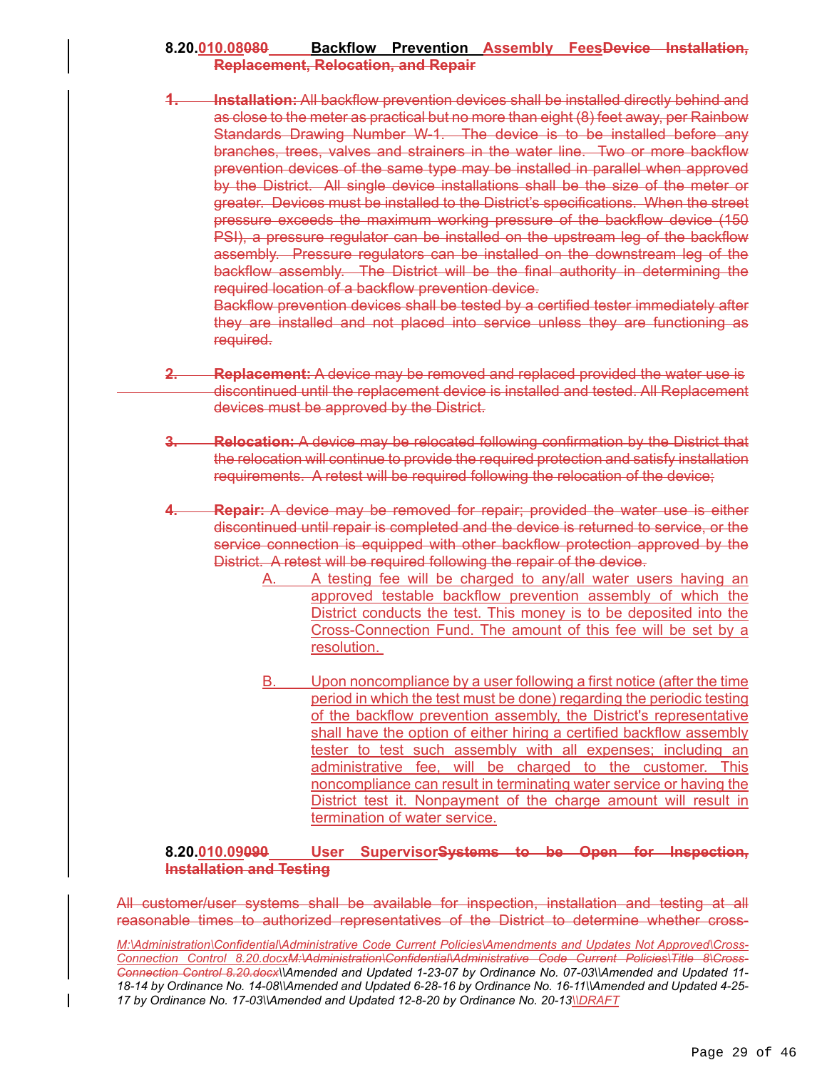# **8.20.010.08080 Backflow Prevention Assembly FeesDevice Installation, Replacement, Relocation, and Repair**

**Installation:** All backflow prevention devices shall be installed directly behind and as close to the meter as practical but no more than eight (8) feet away, per Rainbow Standards Drawing Number W-1. The device is to be installed before any branches, trees, valves and strainers in the water line. Two or more backflow prevention devices of the same type may be installed in parallel when approved by the District. All single device installations shall be the size of the meter or greater. Devices must be installed to the District's specifications. When the street pressure exceeds the maximum working pressure of the backflow device (150 PSI), a pressure regulator can be installed on the upstream leg of the backflow assembly. Pressure regulators can be installed on the downstream leg of the backflow assembly. The District will be the final authority in determining the required location of a backflow prevention device.

Backflow prevention devices shall be tested by a certified tester immediately after they are installed and not placed into service unless they are functioning as required.

- **2. Replacement:** A device may be removed and replaced provided the water use is discontinued until the replacement device is installed and tested. All Replacement devices must be approved by the District.
- **3. Relocation:** A device may be relocated following confirmation by the District that the relocation will continue to provide the required protection and satisfy installation requirements. A retest will be required following the relocation of the device;
- **4. Repair:** A device may be removed for repair; provided the water use is either discontinued until repair is completed and the device is returned to service, or the service connection is equipped with other backflow protection approved by the District. A retest will be required following the repair of the device.
	- A. A testing fee will be charged to any/all water users having an approved testable backflow prevention assembly of which the District conducts the test. This money is to be deposited into the Cross-Connection Fund. The amount of this fee will be set by a resolution.
	- B. Upon noncompliance by a user following a first notice (after the time period in which the test must be done) regarding the periodic testing of the backflow prevention assembly, the District's representative shall have the option of either hiring a certified backflow assembly tester to test such assembly with all expenses; including an administrative fee, will be charged to the customer. This noncompliance can result in terminating water service or having the District test it. Nonpayment of the charge amount will result in termination of water service.

# **8.20.010.09090 User SupervisorSystems to be Open for Inspection, Installation and Testing**

All customer/user systems shall be available for inspection, installation and testing at all reasonable times to authorized representatives of the District to determine whether cross-

*M:\Administration\Confidential\Administrative Code Current Policies\Amendments and Updates Not Approved\Cross-Connection Control 8.20.docxM:\Administration\Confidential\Administrative Code Current Policies\Title 8\Cross-Connection Control 8.20.docx\\Amended and Updated 1-23-07 by Ordinance No. 07-03\\Amended and Updated 11- 18-14 by Ordinance No. 14-08\\Amended and Updated 6-28-16 by Ordinance No. 16-11\\Amended and Updated 4-25- 17 by Ordinance No. 17-03\\Amended and Updated 12-8-20 by Ordinance No. 20-13\\DRAFT*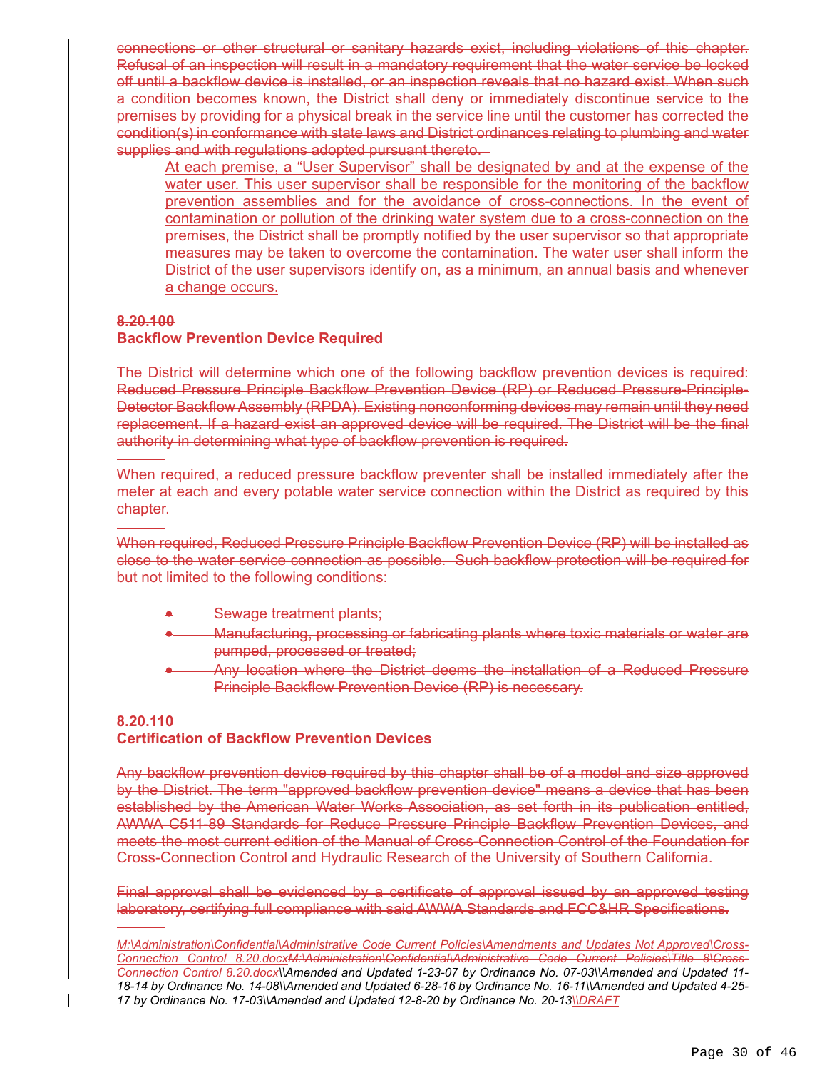connections or other structural or sanitary hazards exist, including violations of this chapter. Refusal of an inspection will result in a mandatory requirement that the water service be locked off until a backflow device is installed, or an inspection reveals that no hazard exist. When such a condition becomes known, the District shall deny or immediately discontinue service to the premises by providing for a physical break in the service line until the customer has corrected the condition(s) in conformance with state laws and District ordinances relating to plumbing and water supplies and with regulations adopted pursuant thereto.

At each premise, a "User Supervisor" shall be designated by and at the expense of the water user. This user supervisor shall be responsible for the monitoring of the backflow prevention assemblies and for the avoidance of cross-connections. In the event of contamination or pollution of the drinking water system due to a cross-connection on the premises, the District shall be promptly notified by the user supervisor so that appropriate measures may be taken to overcome the contamination. The water user shall inform the District of the user supervisors identify on, as a minimum, an annual basis and whenever a change occurs.

# **8.20.100**

 $\overline{a}$ 

 $\overline{a}$ 

 $\overline{a}$ 

 $\overline{a}$ 

 $\overline{a}$ 

# **Backflow Prevention Device Required**

The District will determine which one of the following backflow prevention devices is required: Reduced Pressure Principle Backflow Prevention Device (RP) or Reduced Pressure-Principle-Detector Backflow Assembly (RPDA). Existing nonconforming devices may remain until they need replacement. If a hazard exist an approved device will be required. The District will be the final authority in determining what type of backflow prevention is required.

When required, a reduced pressure backflow preventer shall be installed immediately after the meter at each and every potable water service connection within the District as required by this chapter.

When required, Reduced Pressure Principle Backflow Prevention Device (RP) will be installed as close to the water service connection as possible. Such backflow protection will be required for but not limited to the following conditions:

- Sewage treatment plants;
- Manufacturing, processing or fabricating plants where toxic materials or water are pumped, processed or treated;
- Any location where the District deems the installation of a Reduced Pressure Principle Backflow Prevention Device (RP) is necessary.

# **8.20.110 Certification of Backflow Prevention Devices**

Any backflow prevention device required by this chapter shall be of a model and size approved by the District. The term "approved backflow prevention device" means a device that has been established by the American Water Works Association, as set forth in its publication entitled, AWWA C511-89 Standards for Reduce Pressure Principle Backflow Prevention Devices, and meets the most current edition of the Manual of Cross-Connection Control of the Foundation for Cross-Connection Control and Hydraulic Research of the University of Southern California.

Final approval shall be evidenced by a certificate of approval issued by an approved testing laboratory, certifying full compliance with said AWWA Standards and FCC&HR Specifications.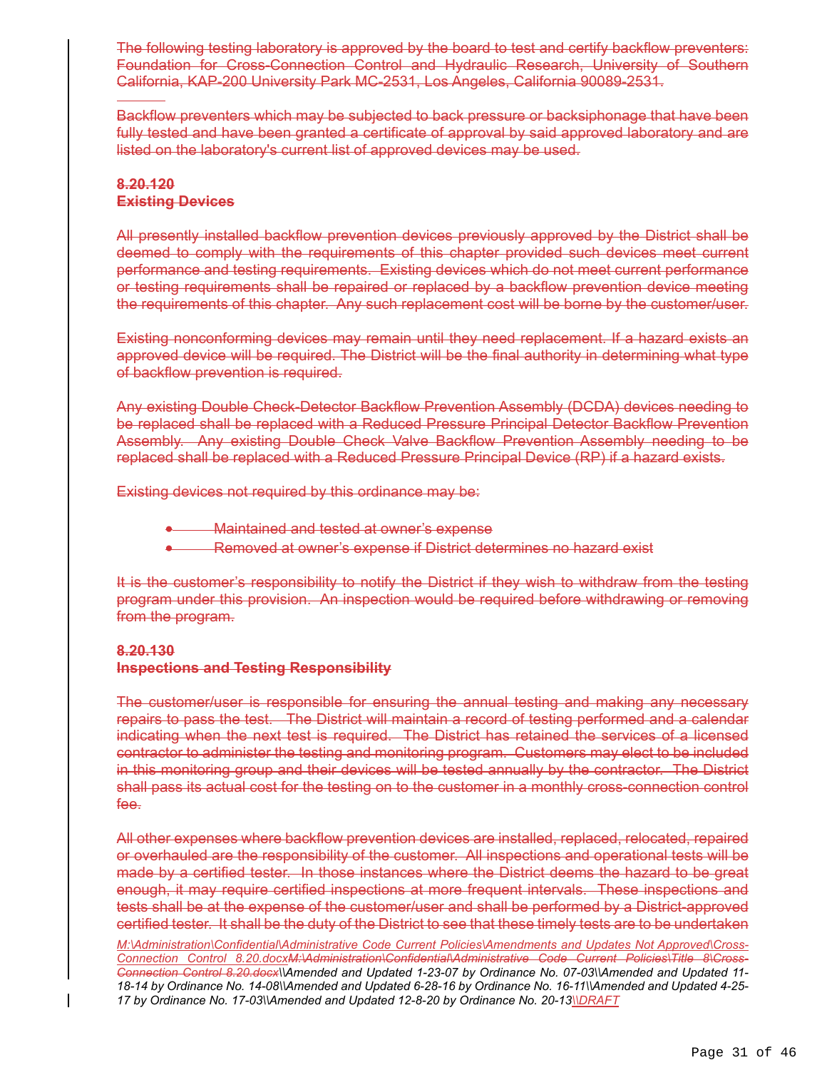The following testing laboratory is approved by the board to test and certify backflow preventers: Foundation for Cross-Connection Control and Hydraulic Research, University of Southern California, KAP-200 University Park MC-2531, Los Angeles, California 90089-2531.

Backflow preventers which may be subjected to back pressure or backsiphonage that have been fully tested and have been granted a certificate of approval by said approved laboratory and are listed on the laboratory's current list of approved devices may be used.

### **8.20.120 Existing Devices**

j

All presently installed backflow prevention devices previously approved by the District shall be deemed to comply with the requirements of this chapter provided such devices meet current performance and testing requirements. Existing devices which do not meet current performance or testing requirements shall be repaired or replaced by a backflow prevention device meeting the requirements of this chapter. Any such replacement cost will be borne by the customer/user.

Existing nonconforming devices may remain until they need replacement. If a hazard exists an approved device will be required. The District will be the final authority in determining what type of backflow prevention is required.

Any existing Double Check-Detector Backflow Prevention Assembly (DCDA) devices needing to be replaced shall be replaced with a Reduced Pressure Principal Detector Backflow Prevention Assembly. Any existing Double Check Valve Backflow Prevention Assembly needing to be replaced shall be replaced with a Reduced Pressure Principal Device (RP) if a hazard exists.

Existing devices not required by this ordinance may be:

Maintained and tested at owner's expense

Removed at owner's expense if District determines no hazard exist

It is the customer's responsibility to notify the District if they wish to withdraw from the testing program under this provision. An inspection would be required before withdrawing or removing from the program.

# **8.20.130 Inspections and Testing Responsibility**

The customer/user is responsible for ensuring the annual testing and making any necessary repairs to pass the test. The District will maintain a record of testing performed and a calendar indicating when the next test is required. The District has retained the services of a licensed contractor to administer the testing and monitoring program. Customers may elect to be included in this monitoring group and their devices will be tested annually by the contractor. The District shall pass its actual cost for the testing on to the customer in a monthly cross-connection control fee.

All other expenses where backflow prevention devices are installed, replaced, relocated, repaired or overhauled are the responsibility of the customer. All inspections and operational tests will be made by a certified tester. In those instances where the District deems the hazard to be great enough, it may require certified inspections at more frequent intervals. These inspections and tests shall be at the expense of the customer/user and shall be performed by a District-approved certified tester. It shall be the duty of the District to see that these timely tests are to be undertaken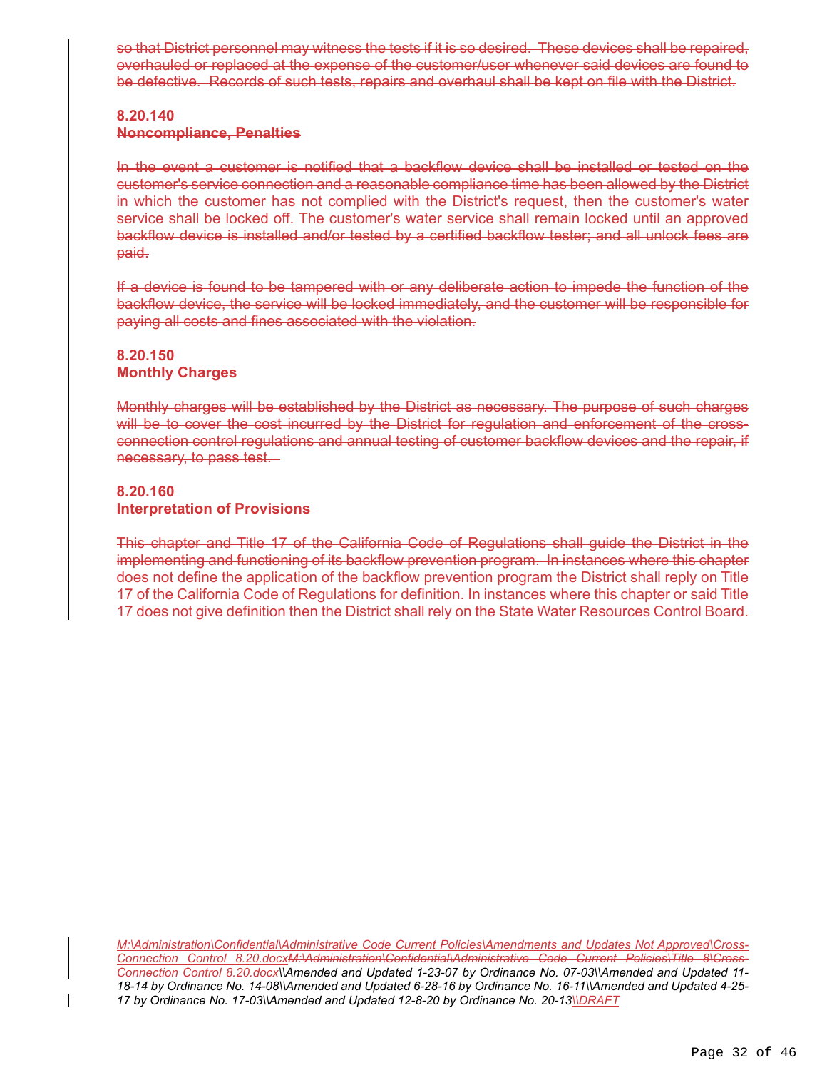so that District personnel may witness the tests if it is so desired. These devices shall be repaired, overhauled or replaced at the expense of the customer/user whenever said devices are found to be defective. Records of such tests, repairs and overhaul shall be kept on file with the District.

# **8.20.140 Noncompliance, Penalties**

In the event a customer is notified that a backflow device shall be installed or tested on the customer's service connection and a reasonable compliance time has been allowed by the District in which the customer has not complied with the District's request, then the customer's water service shall be locked off. The customer's water service shall remain locked until an approved backflow device is installed and/or tested by a certified backflow tester; and all unlock fees are paid.

If a device is found to be tampered with or any deliberate action to impede the function of the backflow device, the service will be locked immediately, and the customer will be responsible for paying all costs and fines associated with the violation.

# **8.20.150 Monthly Charges**

Monthly charges will be established by the District as necessary. The purpose of such charges will be to cover the cost incurred by the District for regulation and enforcement of the crossconnection control regulations and annual testing of customer backflow devices and the repair, if necessary, to pass test.

# **8.20.160 Interpretation of Provisions**

This chapter and Title 17 of the California Code of Regulations shall guide the District in the implementing and functioning of its backflow prevention program. In instances where this chapter does not define the application of the backflow prevention program the District shall reply on Title 17 of the California Code of Regulations for definition. In instances where this chapter or said Title 17 does not give definition then the District shall rely on the State Water Resources Control Board.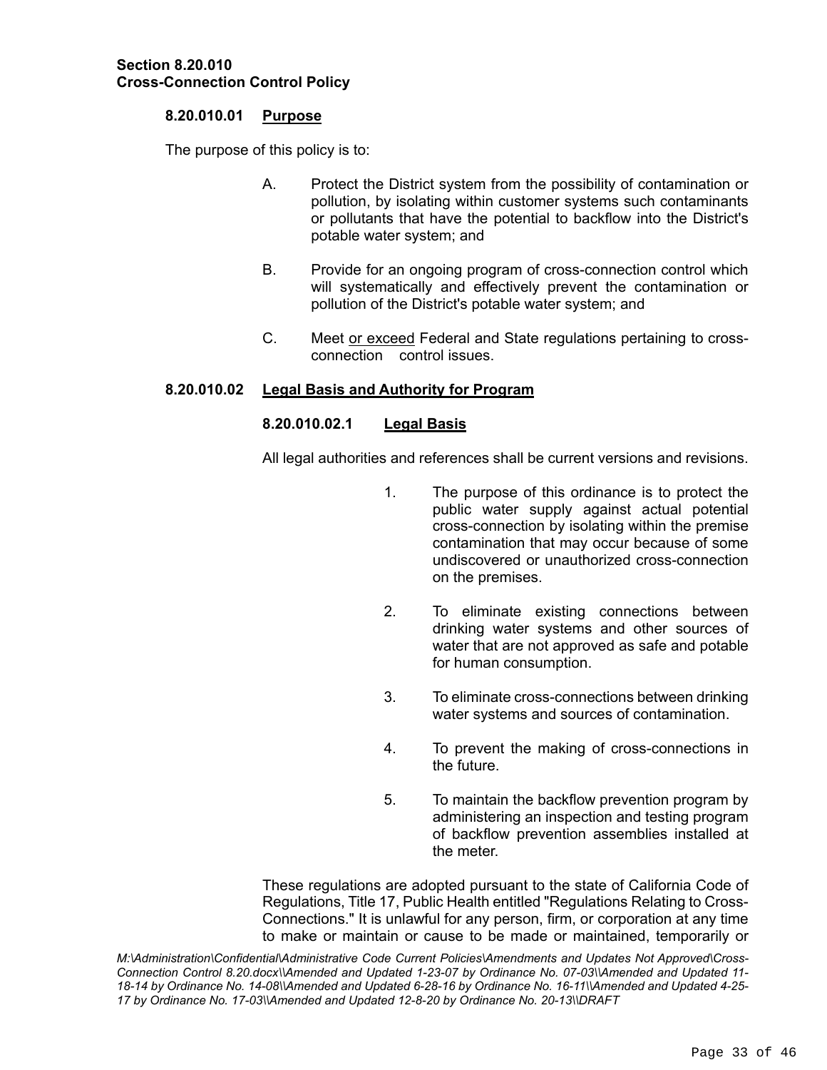### **8.20.010.01 Purpose**

The purpose of this policy is to:

- A. Protect the District system from the possibility of contamination or pollution, by isolating within customer systems such contaminants or pollutants that have the potential to backflow into the District's potable water system; and
- B. Provide for an ongoing program of cross-connection control which will systematically and effectively prevent the contamination or pollution of the District's potable water system; and
- C. Meet or exceed Federal and State regulations pertaining to crossconnection control issues.

# **8.20.010.02 Legal Basis and Authority for Program**

# **8.20.010.02.1 Legal Basis**

All legal authorities and references shall be current versions and revisions.

- 1. The purpose of this ordinance is to protect the public water supply against actual potential cross-connection by isolating within the premise contamination that may occur because of some undiscovered or unauthorized cross-connection on the premises.
- 2. To eliminate existing connections between drinking water systems and other sources of water that are not approved as safe and potable for human consumption.
- 3. To eliminate cross-connections between drinking water systems and sources of contamination.
- 4. To prevent the making of cross-connections in the future.
- 5. To maintain the backflow prevention program by administering an inspection and testing program of backflow prevention assemblies installed at the meter.

These regulations are adopted pursuant to the state of California Code of Regulations, Title 17, Public Health entitled "Regulations Relating to Cross-Connections." It is unlawful for any person, firm, or corporation at any time to make or maintain or cause to be made or maintained, temporarily or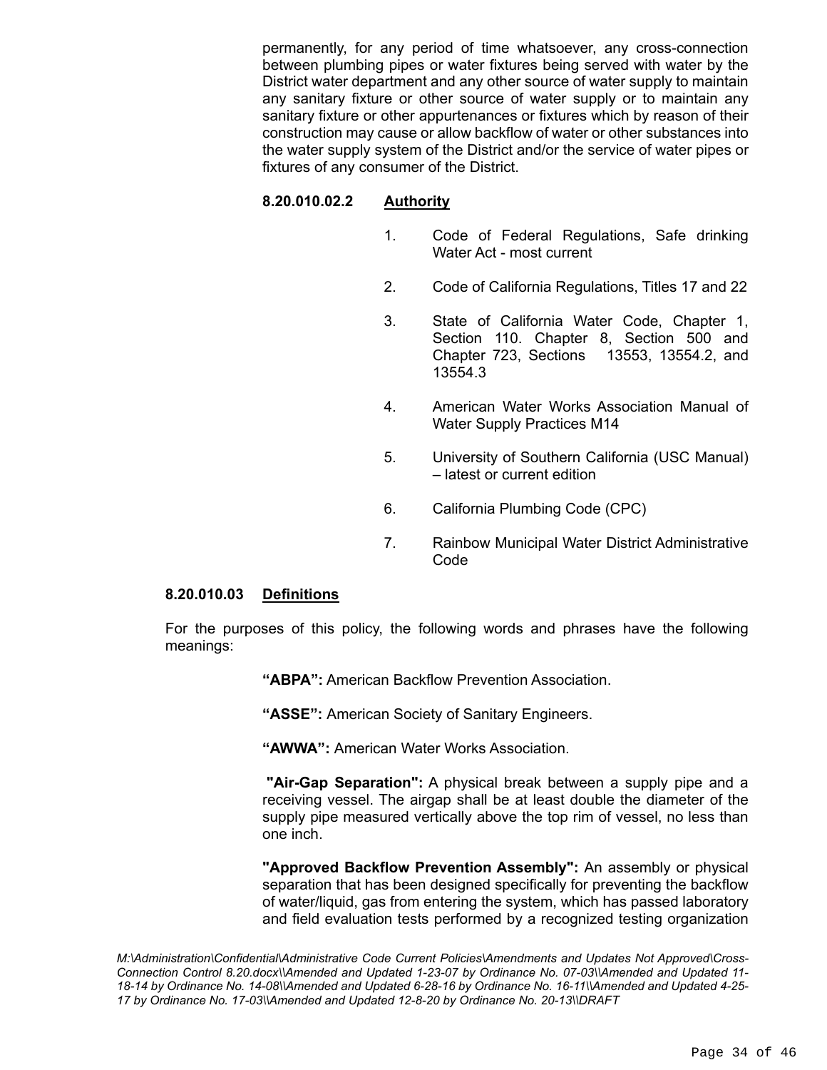permanently, for any period of time whatsoever, any cross-connection between plumbing pipes or water fixtures being served with water by the District water department and any other source of water supply to maintain any sanitary fixture or other source of water supply or to maintain any sanitary fixture or other appurtenances or fixtures which by reason of their construction may cause or allow backflow of water or other substances into the water supply system of the District and/or the service of water pipes or fixtures of any consumer of the District.

# **8.20.010.02.2 Authority**

- 1. Code of Federal Regulations, Safe drinking Water Act - most current
- 2. Code of California Regulations, Titles 17 and 22
- 3. State of California Water Code, Chapter 1, Section 110. Chapter 8, Section 500 and Chapter 723, Sections 13553, 13554.2, and 13554.3
- 4. American Water Works Association Manual of Water Supply Practices M14
- 5. University of Southern California (USC Manual) – latest or current edition
- 6. California Plumbing Code (CPC)
- 7. Rainbow Municipal Water District Administrative Code

#### **8.20.010.03 Definitions**

For the purposes of this policy, the following words and phrases have the following meanings:

**"ABPA":** American Backflow Prevention Association.

**"ASSE":** American Society of Sanitary Engineers.

**"AWWA":** American Water Works Association.

**"Air-Gap Separation":** A physical break between a supply pipe and a receiving vessel. The airgap shall be at least double the diameter of the supply pipe measured vertically above the top rim of vessel, no less than one inch.

**"Approved Backflow Prevention Assembly":** An assembly or physical separation that has been designed specifically for preventing the backflow of water/liquid, gas from entering the system, which has passed laboratory and field evaluation tests performed by a recognized testing organization

*M:\Administration\Confidential\Administrative Code Current Policies\Amendments and Updates Not Approved\Cross-Connection Control 8.20.docx\\Amended and Updated 1-23-07 by Ordinance No. 07-03\\Amended and Updated 11- 18-14 by Ordinance No. 14-08\\Amended and Updated 6-28-16 by Ordinance No. 16-11\\Amended and Updated 4-25- 17 by Ordinance No. 17-03\\Amended and Updated 12-8-20 by Ordinance No. 20-13\\DRAFT*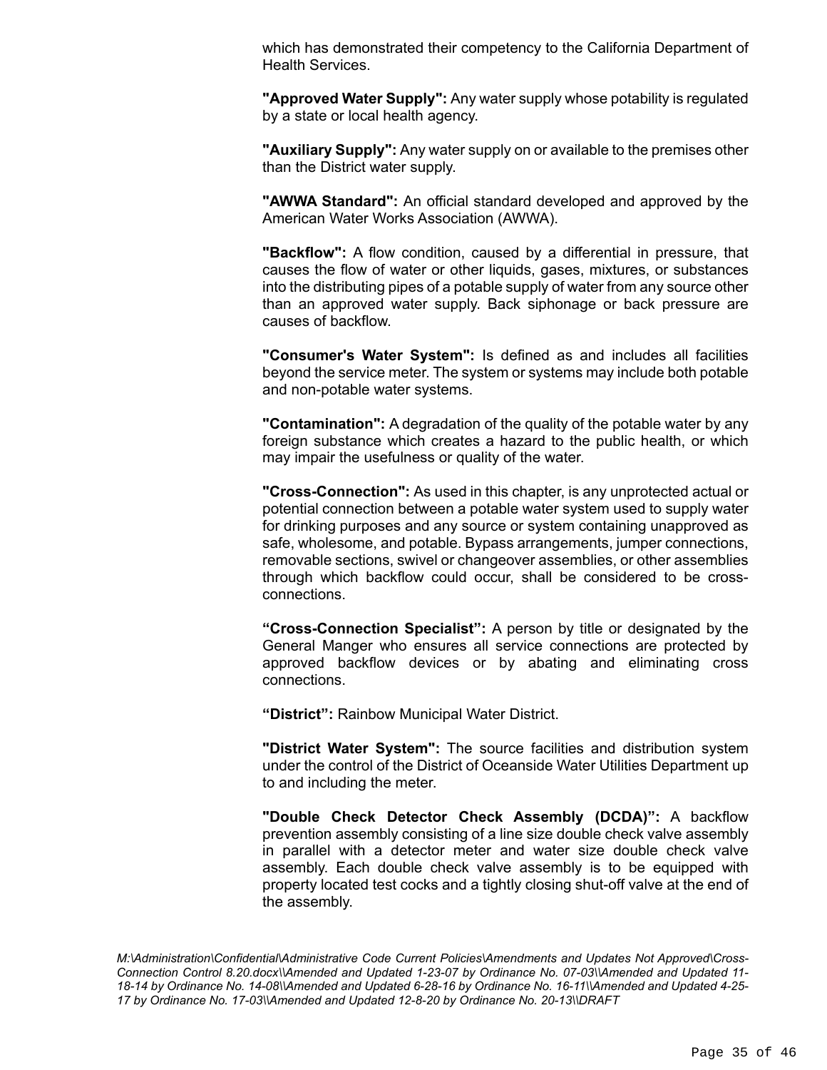which has demonstrated their competency to the California Department of Health Services.

**"Approved Water Supply":** Any water supply whose potability is regulated by a state or local health agency.

**"Auxiliary Supply":** Any water supply on or available to the premises other than the District water supply.

**"AWWA Standard":** An official standard developed and approved by the American Water Works Association (AWWA).

**"Backflow":** A flow condition, caused by a differential in pressure, that causes the flow of water or other liquids, gases, mixtures, or substances into the distributing pipes of a potable supply of water from any source other than an approved water supply. Back siphonage or back pressure are causes of backflow.

**"Consumer's Water System":** Is defined as and includes all facilities beyond the service meter. The system or systems may include both potable and non-potable water systems.

**"Contamination":** A degradation of the quality of the potable water by any foreign substance which creates a hazard to the public health, or which may impair the usefulness or quality of the water.

**"Cross-Connection":** As used in this chapter, is any unprotected actual or potential connection between a potable water system used to supply water for drinking purposes and any source or system containing unapproved as safe, wholesome, and potable. Bypass arrangements, jumper connections, removable sections, swivel or changeover assemblies, or other assemblies through which backflow could occur, shall be considered to be crossconnections.

**"Cross-Connection Specialist":** A person by title or designated by the General Manger who ensures all service connections are protected by approved backflow devices or by abating and eliminating cross connections.

**"District":** Rainbow Municipal Water District.

**"District Water System":** The source facilities and distribution system under the control of the District of Oceanside Water Utilities Department up to and including the meter.

**"Double Check Detector Check Assembly (DCDA)":** A backflow prevention assembly consisting of a line size double check valve assembly in parallel with a detector meter and water size double check valve assembly. Each double check valve assembly is to be equipped with property located test cocks and a tightly closing shut-off valve at the end of the assembly.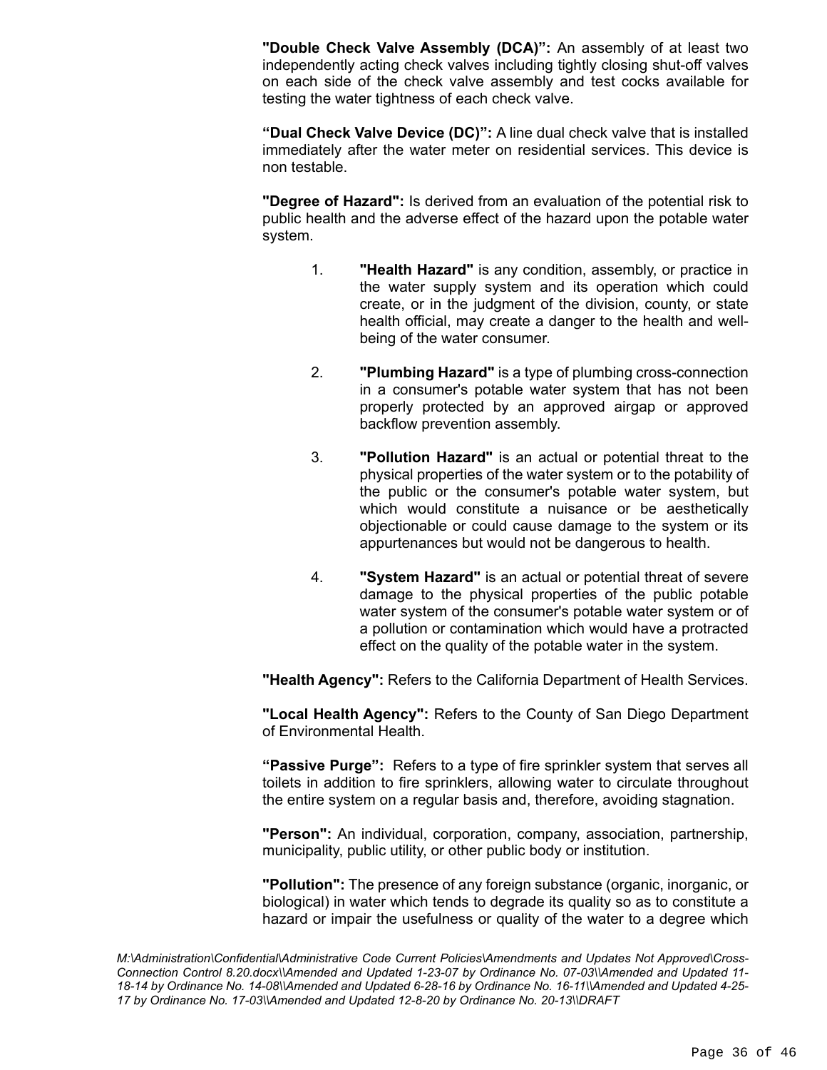**"Double Check Valve Assembly (DCA)":** An assembly of at least two independently acting check valves including tightly closing shut-off valves on each side of the check valve assembly and test cocks available for testing the water tightness of each check valve.

**"Dual Check Valve Device (DC)":** A line dual check valve that is installed immediately after the water meter on residential services. This device is non testable.

**"Degree of Hazard":** Is derived from an evaluation of the potential risk to public health and the adverse effect of the hazard upon the potable water system.

- 1. **"Health Hazard"** is any condition, assembly, or practice in the water supply system and its operation which could create, or in the judgment of the division, county, or state health official, may create a danger to the health and wellbeing of the water consumer.
- 2. **"Plumbing Hazard"** is a type of plumbing cross-connection in a consumer's potable water system that has not been properly protected by an approved airgap or approved backflow prevention assembly.
- 3. **"Pollution Hazard"** is an actual or potential threat to the physical properties of the water system or to the potability of the public or the consumer's potable water system, but which would constitute a nuisance or be aesthetically objectionable or could cause damage to the system or its appurtenances but would not be dangerous to health.
- 4. **"System Hazard"** is an actual or potential threat of severe damage to the physical properties of the public potable water system of the consumer's potable water system or of a pollution or contamination which would have a protracted effect on the quality of the potable water in the system.

**"Health Agency":** Refers to the California Department of Health Services.

**"Local Health Agency":** Refers to the County of San Diego Department of Environmental Health.

**"Passive Purge":** Refers to a type of fire sprinkler system that serves all toilets in addition to fire sprinklers, allowing water to circulate throughout the entire system on a regular basis and, therefore, avoiding stagnation.

**"Person":** An individual, corporation, company, association, partnership, municipality, public utility, or other public body or institution.

**"Pollution":** The presence of any foreign substance (organic, inorganic, or biological) in water which tends to degrade its quality so as to constitute a hazard or impair the usefulness or quality of the water to a degree which

*M:\Administration\Confidential\Administrative Code Current Policies\Amendments and Updates Not Approved\Cross-Connection Control 8.20.docx\\Amended and Updated 1-23-07 by Ordinance No. 07-03\\Amended and Updated 11- 18-14 by Ordinance No. 14-08\\Amended and Updated 6-28-16 by Ordinance No. 16-11\\Amended and Updated 4-25- 17 by Ordinance No. 17-03\\Amended and Updated 12-8-20 by Ordinance No. 20-13\\DRAFT*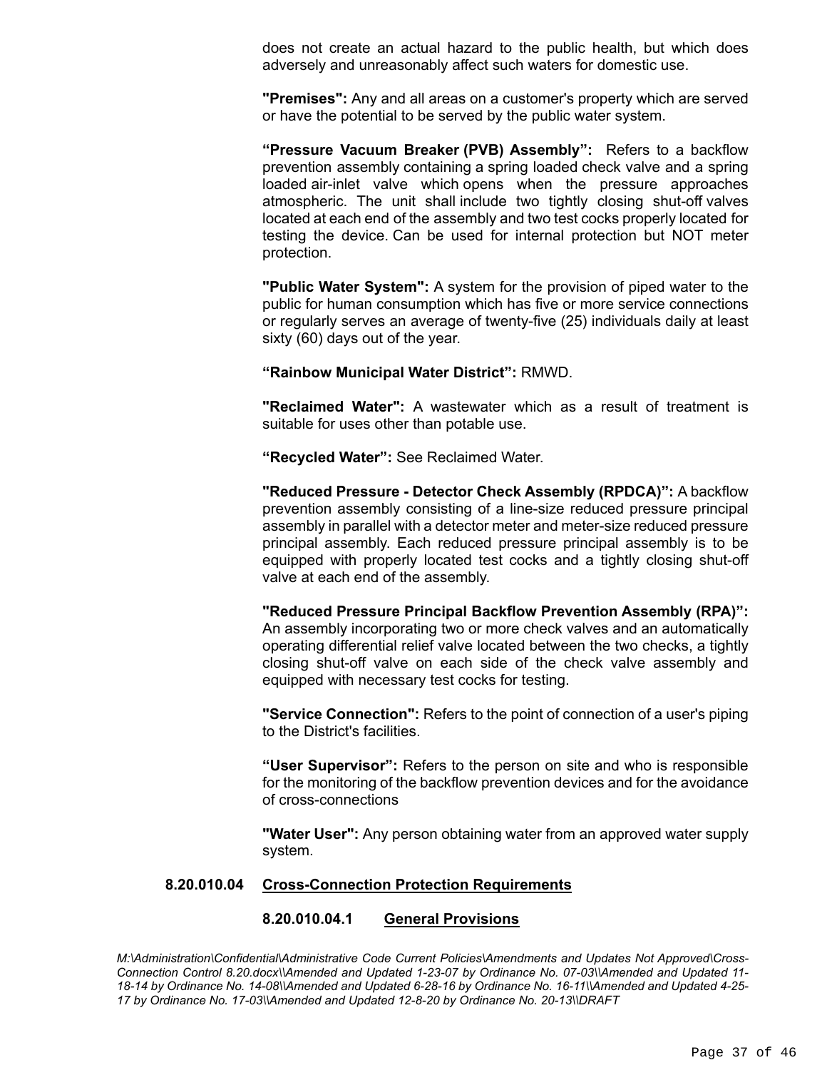does not create an actual hazard to the public health, but which does adversely and unreasonably affect such waters for domestic use.

**"Premises":** Any and all areas on a customer's property which are served or have the potential to be served by the public water system.

**"Pressure Vacuum Breaker (PVB) Assembly":** Refers to a backflow prevention assembly containing a spring loaded check valve and a spring loaded air-inlet valve which opens when the pressure approaches atmospheric. The unit shall include two tightly closing shut-off valves located at each end of the assembly and two test cocks properly located for testing the device. Can be used for internal protection but NOT meter protection.

**"Public Water System":** A system for the provision of piped water to the public for human consumption which has five or more service connections or regularly serves an average of twenty-five (25) individuals daily at least sixty (60) days out of the year.

**"Rainbow Municipal Water District":** RMWD.

**"Reclaimed Water":** A wastewater which as a result of treatment is suitable for uses other than potable use.

**"Recycled Water":** See Reclaimed Water.

**"Reduced Pressure - Detector Check Assembly (RPDCA)":** A backflow prevention assembly consisting of a line-size reduced pressure principal assembly in parallel with a detector meter and meter-size reduced pressure principal assembly. Each reduced pressure principal assembly is to be equipped with properly located test cocks and a tightly closing shut-off valve at each end of the assembly.

**"Reduced Pressure Principal Backflow Prevention Assembly (RPA)":**  An assembly incorporating two or more check valves and an automatically operating differential relief valve located between the two checks, a tightly closing shut-off valve on each side of the check valve assembly and equipped with necessary test cocks for testing.

**"Service Connection":** Refers to the point of connection of a user's piping to the District's facilities.

**"User Supervisor":** Refers to the person on site and who is responsible for the monitoring of the backflow prevention devices and for the avoidance of cross-connections

**"Water User":** Any person obtaining water from an approved water supply system.

#### **8.20.010.04 Cross-Connection Protection Requirements**

#### **8.20.010.04.1 General Provisions**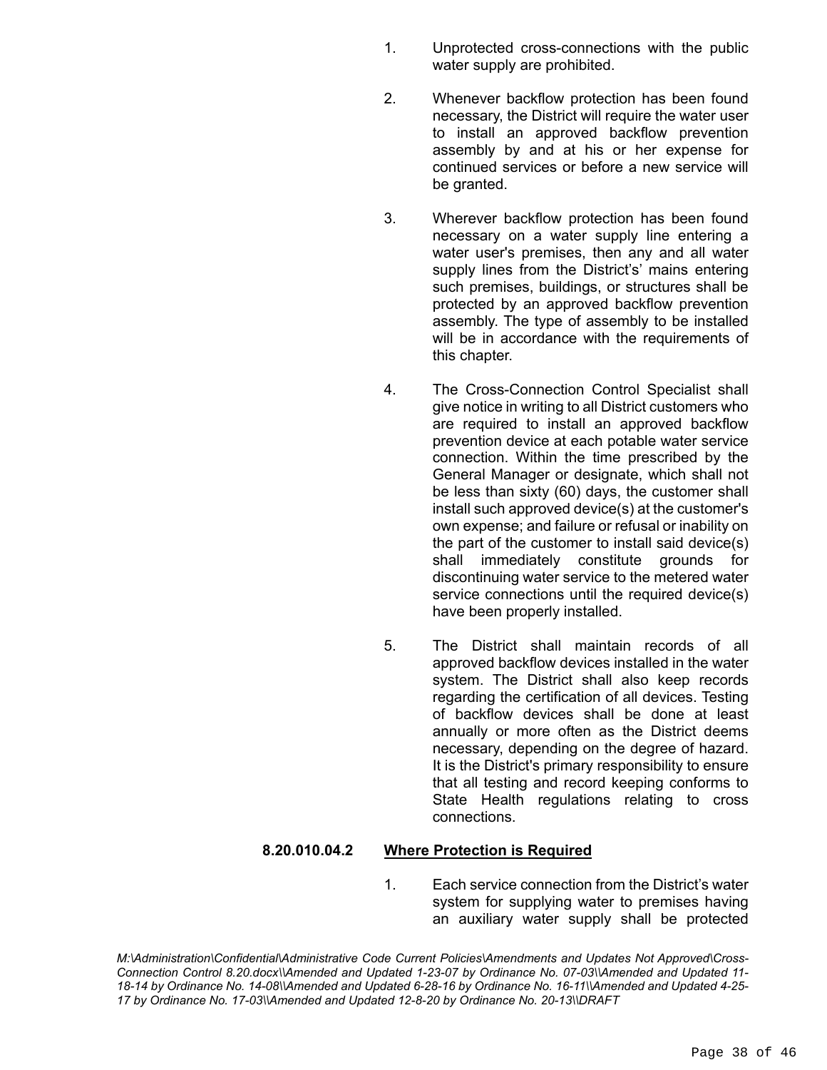- 1. Unprotected cross-connections with the public water supply are prohibited.
- 2. Whenever backflow protection has been found necessary, the District will require the water user to install an approved backflow prevention assembly by and at his or her expense for continued services or before a new service will be granted.
- 3. Wherever backflow protection has been found necessary on a water supply line entering a water user's premises, then any and all water supply lines from the District's' mains entering such premises, buildings, or structures shall be protected by an approved backflow prevention assembly. The type of assembly to be installed will be in accordance with the requirements of this chapter.
- 4. The Cross-Connection Control Specialist shall give notice in writing to all District customers who are required to install an approved backflow prevention device at each potable water service connection. Within the time prescribed by the General Manager or designate, which shall not be less than sixty (60) days, the customer shall install such approved device(s) at the customer's own expense; and failure or refusal or inability on the part of the customer to install said device(s) shall immediately constitute grounds for discontinuing water service to the metered water service connections until the required device(s) have been properly installed.
- 5. The District shall maintain records of all approved backflow devices installed in the water system. The District shall also keep records regarding the certification of all devices. Testing of backflow devices shall be done at least annually or more often as the District deems necessary, depending on the degree of hazard. It is the District's primary responsibility to ensure that all testing and record keeping conforms to State Health regulations relating to cross connections.

### **8.20.010.04.2 Where Protection is Required**

1. Each service connection from the District's water system for supplying water to premises having an auxiliary water supply shall be protected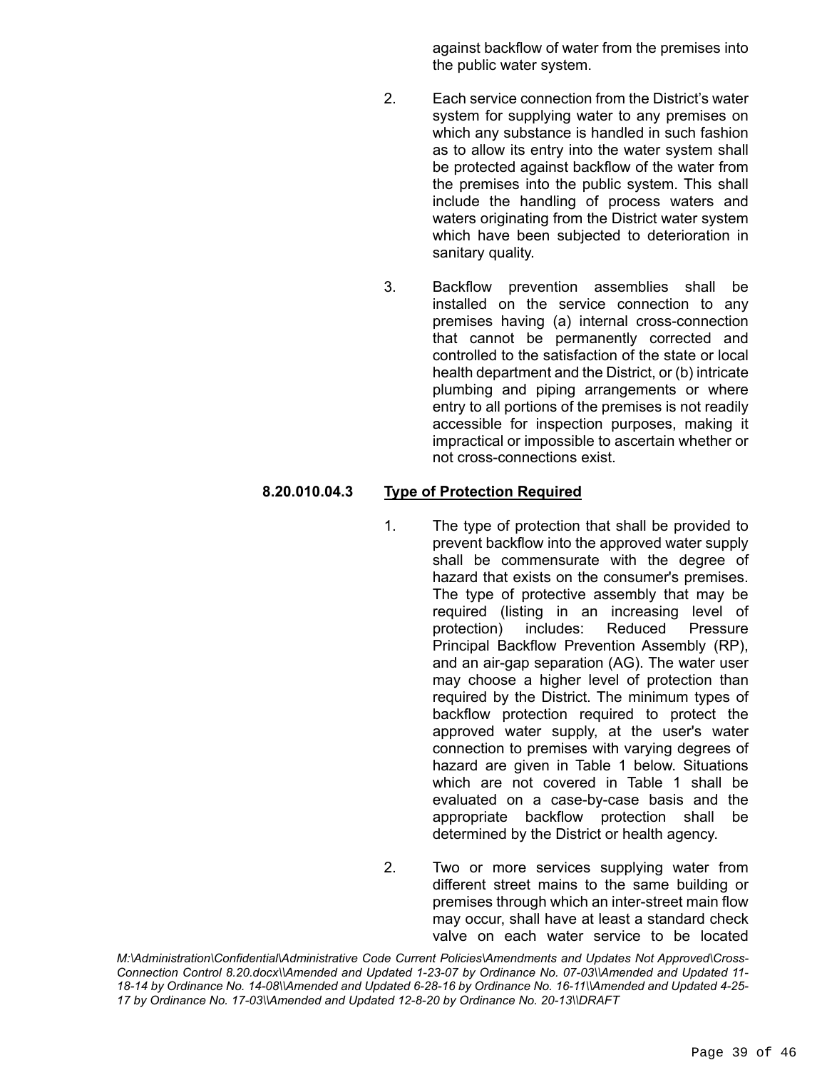against backflow of water from the premises into the public water system.

- 2. Each service connection from the District's water system for supplying water to any premises on which any substance is handled in such fashion as to allow its entry into the water system shall be protected against backflow of the water from the premises into the public system. This shall include the handling of process waters and waters originating from the District water system which have been subjected to deterioration in sanitary quality.
- 3. Backflow prevention assemblies shall be installed on the service connection to any premises having (a) internal cross-connection that cannot be permanently corrected and controlled to the satisfaction of the state or local health department and the District, or (b) intricate plumbing and piping arrangements or where entry to all portions of the premises is not readily accessible for inspection purposes, making it impractical or impossible to ascertain whether or not cross-connections exist.

# **8.20.010.04.3 Type of Protection Required**

- 1. The type of protection that shall be provided to prevent backflow into the approved water supply shall be commensurate with the degree of hazard that exists on the consumer's premises. The type of protective assembly that may be required (listing in an increasing level of protection) includes: Reduced Pressure Principal Backflow Prevention Assembly (RP), and an air-gap separation (AG). The water user may choose a higher level of protection than required by the District. The minimum types of backflow protection required to protect the approved water supply, at the user's water connection to premises with varying degrees of hazard are given in Table 1 below. Situations which are not covered in Table 1 shall be evaluated on a case-by-case basis and the appropriate backflow protection shall be determined by the District or health agency.
- 2. Two or more services supplying water from different street mains to the same building or premises through which an inter-street main flow may occur, shall have at least a standard check valve on each water service to be located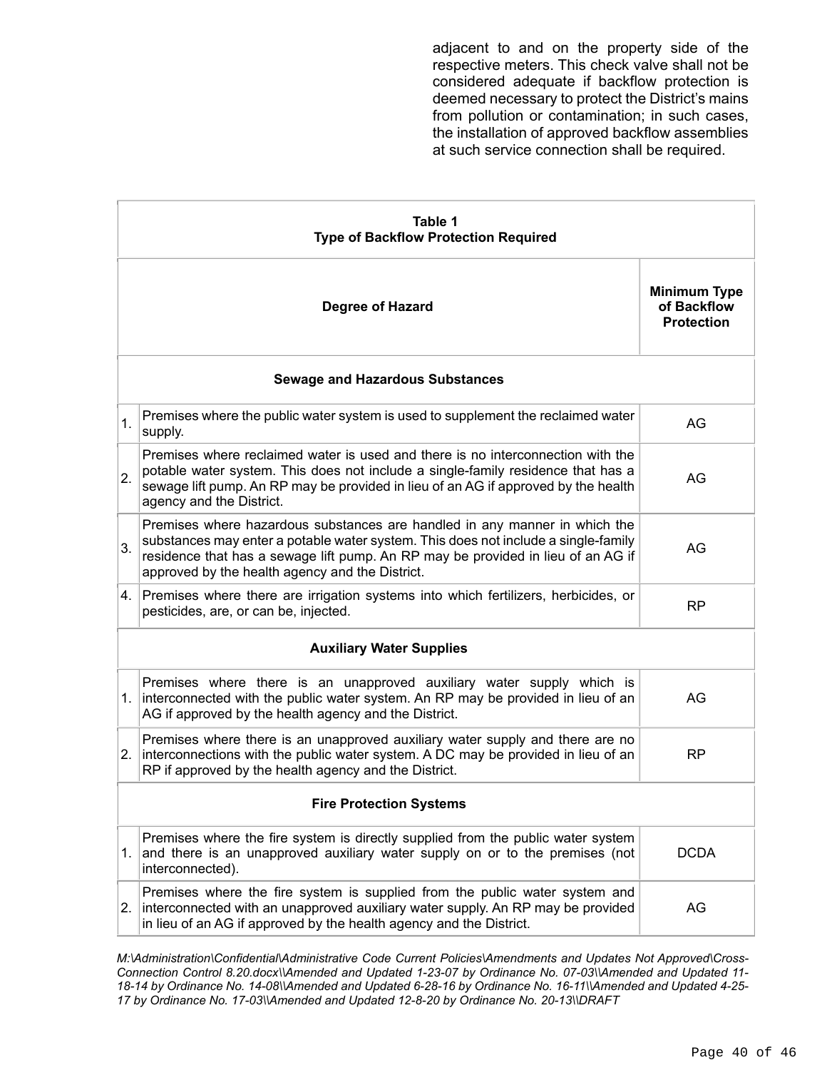adjacent to and on the property side of the respective meters. This check valve shall not be considered adequate if backflow protection is deemed necessary to protect the District's mains from pollution or contamination; in such cases, the installation of approved backflow assemblies at such service connection shall be required.

| Table 1<br><b>Type of Backflow Protection Required</b> |                                                                                                                                                                                                                                                                                                         |                                                         |  |  |
|--------------------------------------------------------|---------------------------------------------------------------------------------------------------------------------------------------------------------------------------------------------------------------------------------------------------------------------------------------------------------|---------------------------------------------------------|--|--|
|                                                        | Degree of Hazard                                                                                                                                                                                                                                                                                        | <b>Minimum Type</b><br>of Backflow<br><b>Protection</b> |  |  |
| <b>Sewage and Hazardous Substances</b>                 |                                                                                                                                                                                                                                                                                                         |                                                         |  |  |
| 1.                                                     | Premises where the public water system is used to supplement the reclaimed water<br>supply.                                                                                                                                                                                                             | AG                                                      |  |  |
| 2.                                                     | Premises where reclaimed water is used and there is no interconnection with the<br>potable water system. This does not include a single-family residence that has a<br>sewage lift pump. An RP may be provided in lieu of an AG if approved by the health<br>agency and the District.                   | AG                                                      |  |  |
| 3.                                                     | Premises where hazardous substances are handled in any manner in which the<br>substances may enter a potable water system. This does not include a single-family<br>residence that has a sewage lift pump. An RP may be provided in lieu of an AG if<br>approved by the health agency and the District. | AG                                                      |  |  |
|                                                        | 4. Premises where there are irrigation systems into which fertilizers, herbicides, or<br>pesticides, are, or can be, injected.                                                                                                                                                                          | RP                                                      |  |  |
| <b>Auxiliary Water Supplies</b>                        |                                                                                                                                                                                                                                                                                                         |                                                         |  |  |
|                                                        | Premises where there is an unapproved auxiliary water supply which is<br>1. interconnected with the public water system. An RP may be provided in lieu of an<br>AG if approved by the health agency and the District.                                                                                   | AG                                                      |  |  |
| 2.                                                     | Premises where there is an unapproved auxiliary water supply and there are no<br>interconnections with the public water system. A DC may be provided in lieu of an<br>RP if approved by the health agency and the District.                                                                             | <b>RP</b>                                               |  |  |
| <b>Fire Protection Systems</b>                         |                                                                                                                                                                                                                                                                                                         |                                                         |  |  |
| 1.                                                     | Premises where the fire system is directly supplied from the public water system<br>and there is an unapproved auxiliary water supply on or to the premises (not<br>interconnected).                                                                                                                    | <b>DCDA</b>                                             |  |  |
| 2.                                                     | Premises where the fire system is supplied from the public water system and<br>interconnected with an unapproved auxiliary water supply. An RP may be provided<br>in lieu of an AG if approved by the health agency and the District.                                                                   | AG                                                      |  |  |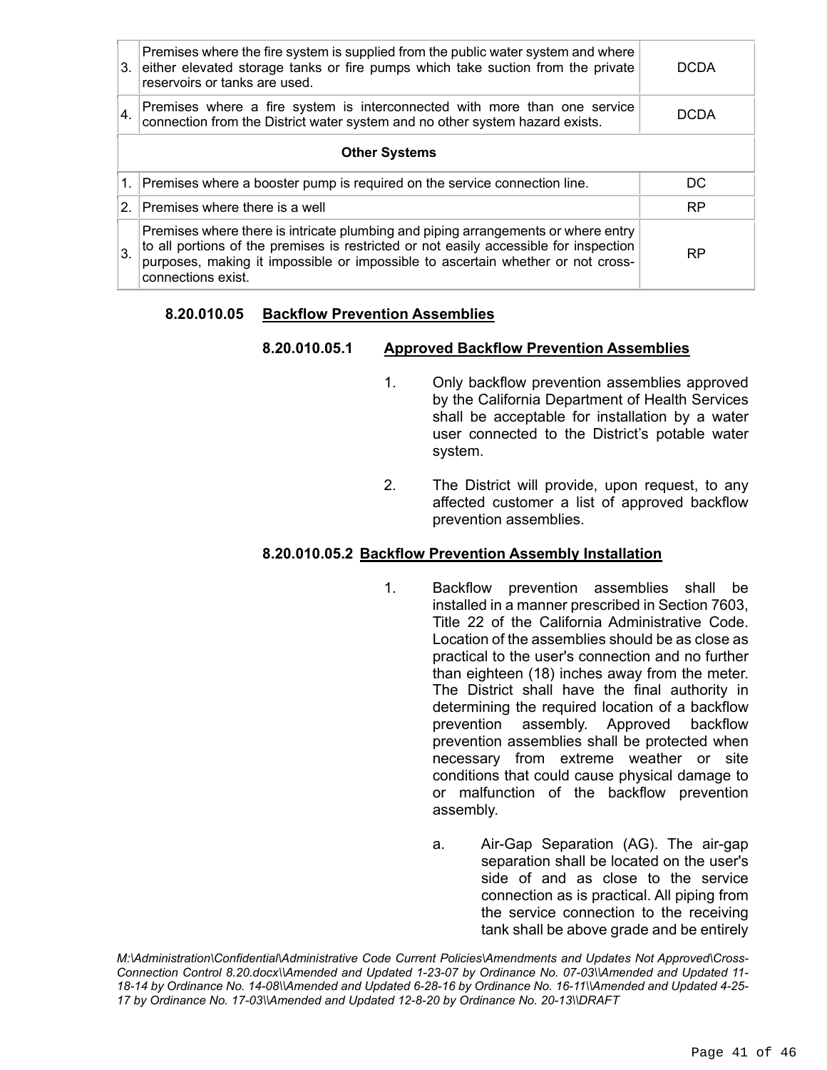|                      | Premises where the fire system is supplied from the public water system and where<br>3. either elevated storage tanks or fire pumps which take suction from the private<br>reservoirs or tanks are used.                                                                            | DCDA      |  |  |
|----------------------|-------------------------------------------------------------------------------------------------------------------------------------------------------------------------------------------------------------------------------------------------------------------------------------|-----------|--|--|
| 4.                   | Premises where a fire system is interconnected with more than one service<br>connection from the District water system and no other system hazard exists.                                                                                                                           | DCDA      |  |  |
| <b>Other Systems</b> |                                                                                                                                                                                                                                                                                     |           |  |  |
|                      | 1. Premises where a booster pump is required on the service connection line.                                                                                                                                                                                                        | DC.       |  |  |
| $\mathcal{P}$        | Premises where there is a well                                                                                                                                                                                                                                                      | <b>RP</b> |  |  |
| $\mathbf{3}$ .       | Premises where there is intricate plumbing and piping arrangements or where entry<br>to all portions of the premises is restricted or not easily accessible for inspection<br>purposes, making it impossible or impossible to ascertain whether or not cross-<br>connections exist. | RP        |  |  |

#### **8.20.010.05 Backflow Prevention Assemblies**

#### **8.20.010.05.1 Approved Backflow Prevention Assemblies**

- 1. Only backflow prevention assemblies approved by the California Department of Health Services shall be acceptable for installation by a water user connected to the District's potable water system.
- 2. The District will provide, upon request, to any affected customer a list of approved backflow prevention assemblies.

#### **8.20.010.05.2 Backflow Prevention Assembly Installation**

- 1. Backflow prevention assemblies shall be installed in a manner prescribed in Section 7603, Title 22 of the California Administrative Code. Location of the assemblies should be as close as practical to the user's connection and no further than eighteen (18) inches away from the meter. The District shall have the final authority in determining the required location of a backflow prevention assembly. Approved backflow prevention assemblies shall be protected when necessary from extreme weather or site conditions that could cause physical damage to or malfunction of the backflow prevention assembly.
	- a. Air-Gap Separation (AG). The air-gap separation shall be located on the user's side of and as close to the service connection as is practical. All piping from the service connection to the receiving tank shall be above grade and be entirely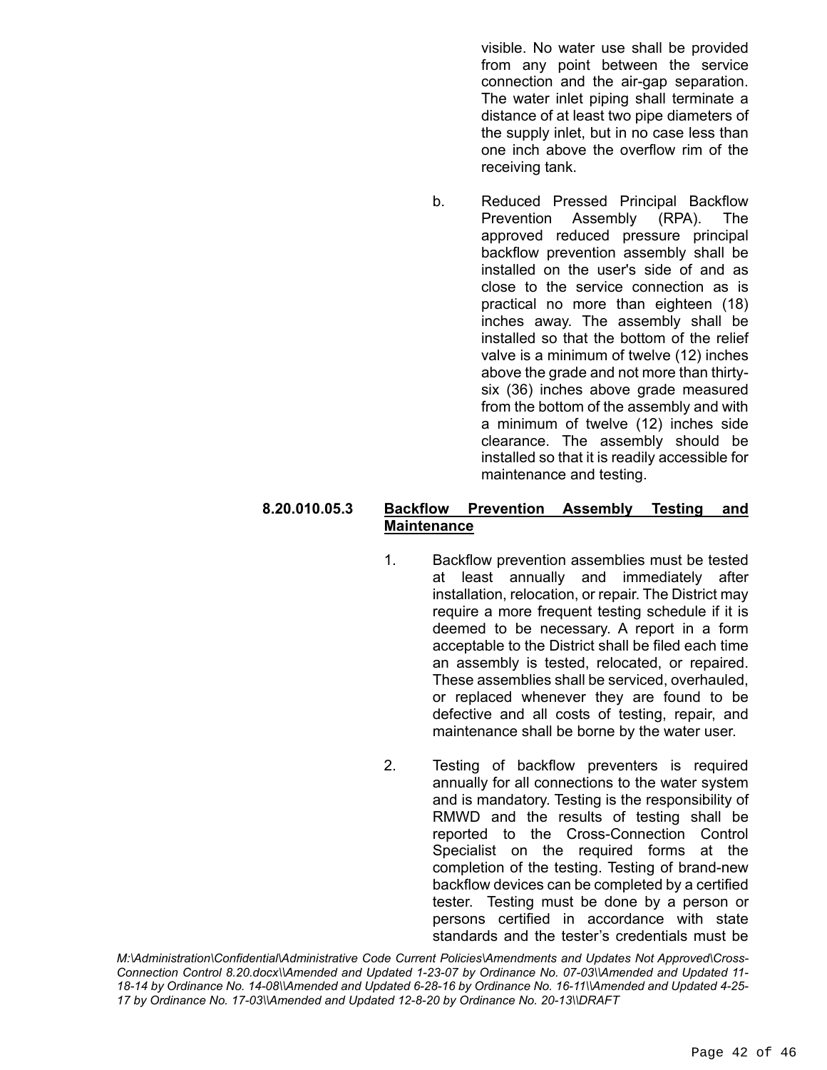visible. No water use shall be provided from any point between the service connection and the air-gap separation. The water inlet piping shall terminate a distance of at least two pipe diameters of the supply inlet, but in no case less than one inch above the overflow rim of the receiving tank.

b. Reduced Pressed Principal Backflow Prevention Assembly (RPA). The approved reduced pressure principal backflow prevention assembly shall be installed on the user's side of and as close to the service connection as is practical no more than eighteen (18) inches away. The assembly shall be installed so that the bottom of the relief valve is a minimum of twelve (12) inches above the grade and not more than thirtysix (36) inches above grade measured from the bottom of the assembly and with a minimum of twelve (12) inches side clearance. The assembly should be installed so that it is readily accessible for maintenance and testing.

# **8.20.010.05.3 Backflow Prevention Assembly Testing and Maintenance**

- 1. Backflow prevention assemblies must be tested at least annually and immediately after installation, relocation, or repair. The District may require a more frequent testing schedule if it is deemed to be necessary. A report in a form acceptable to the District shall be filed each time an assembly is tested, relocated, or repaired. These assemblies shall be serviced, overhauled, or replaced whenever they are found to be defective and all costs of testing, repair, and maintenance shall be borne by the water user.
- 2. Testing of backflow preventers is required annually for all connections to the water system and is mandatory. Testing is the responsibility of RMWD and the results of testing shall be reported to the Cross-Connection Control Specialist on the required forms at the completion of the testing. Testing of brand-new backflow devices can be completed by a certified tester. Testing must be done by a person or persons certified in accordance with state standards and the tester's credentials must be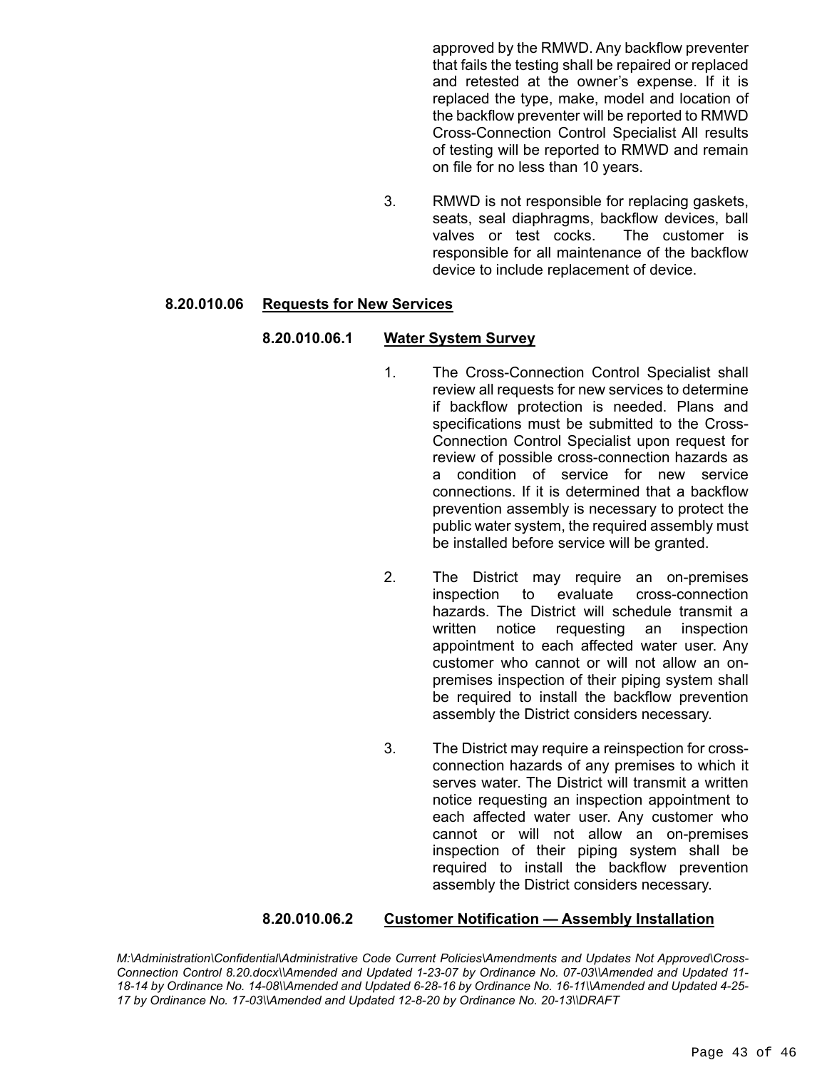approved by the RMWD. Any backflow preventer that fails the testing shall be repaired or replaced and retested at the owner's expense. If it is replaced the type, make, model and location of the backflow preventer will be reported to RMWD Cross-Connection Control Specialist All results of testing will be reported to RMWD and remain on file for no less than 10 years.

3. RMWD is not responsible for replacing gaskets, seats, seal diaphragms, backflow devices, ball valves or test cocks. The customer is responsible for all maintenance of the backflow device to include replacement of device.

#### **8.20.010.06 Requests for New Services**

#### **8.20.010.06.1 Water System Survey**

- 1. The Cross-Connection Control Specialist shall review all requests for new services to determine if backflow protection is needed. Plans and specifications must be submitted to the Cross-Connection Control Specialist upon request for review of possible cross-connection hazards as a condition of service for new service connections. If it is determined that a backflow prevention assembly is necessary to protect the public water system, the required assembly must be installed before service will be granted.
- 2. The District may require an on-premises inspection to evaluate cross-connection hazards. The District will schedule transmit a written notice requesting an inspection appointment to each affected water user. Any customer who cannot or will not allow an onpremises inspection of their piping system shall be required to install the backflow prevention assembly the District considers necessary.
- 3. The District may require a reinspection for crossconnection hazards of any premises to which it serves water. The District will transmit a written notice requesting an inspection appointment to each affected water user. Any customer who cannot or will not allow an on-premises inspection of their piping system shall be required to install the backflow prevention assembly the District considers necessary.

#### **8.20.010.06.2 Customer Notification — Assembly Installation**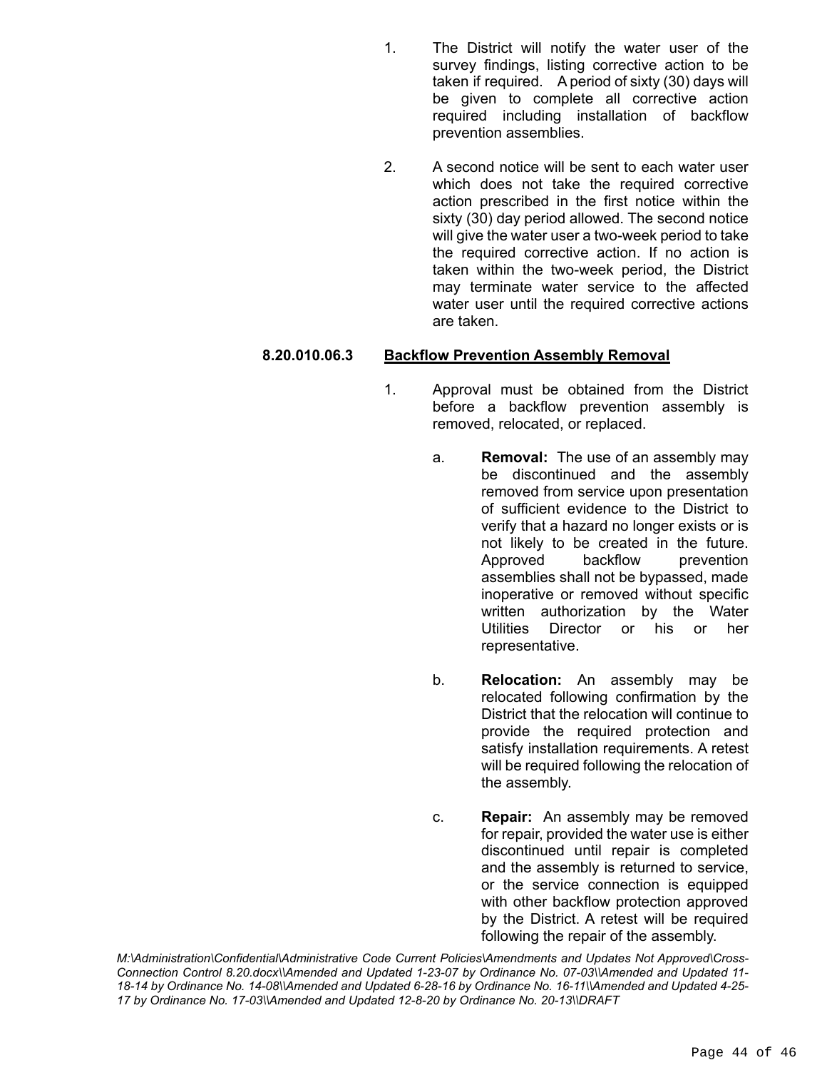- 1. The District will notify the water user of the survey findings, listing corrective action to be taken if required. A period of sixty (30) days will be given to complete all corrective action required including installation of backflow prevention assemblies.
- 2. A second notice will be sent to each water user which does not take the required corrective action prescribed in the first notice within the sixty (30) day period allowed. The second notice will give the water user a two-week period to take the required corrective action. If no action is taken within the two-week period, the District may terminate water service to the affected water user until the required corrective actions are taken.

# **8.20.010.06.3 Backflow Prevention Assembly Removal**

- 1. Approval must be obtained from the District before a backflow prevention assembly is removed, relocated, or replaced.
	- a. **Removal:** The use of an assembly may be discontinued and the assembly removed from service upon presentation of sufficient evidence to the District to verify that a hazard no longer exists or is not likely to be created in the future. Approved backflow prevention assemblies shall not be bypassed, made inoperative or removed without specific written authorization by the Water Utilities Director or his or her representative.
	- b. **Relocation:** An assembly may be relocated following confirmation by the District that the relocation will continue to provide the required protection and satisfy installation requirements. A retest will be required following the relocation of the assembly.
	- c. **Repair:** An assembly may be removed for repair, provided the water use is either discontinued until repair is completed and the assembly is returned to service, or the service connection is equipped with other backflow protection approved by the District. A retest will be required following the repair of the assembly.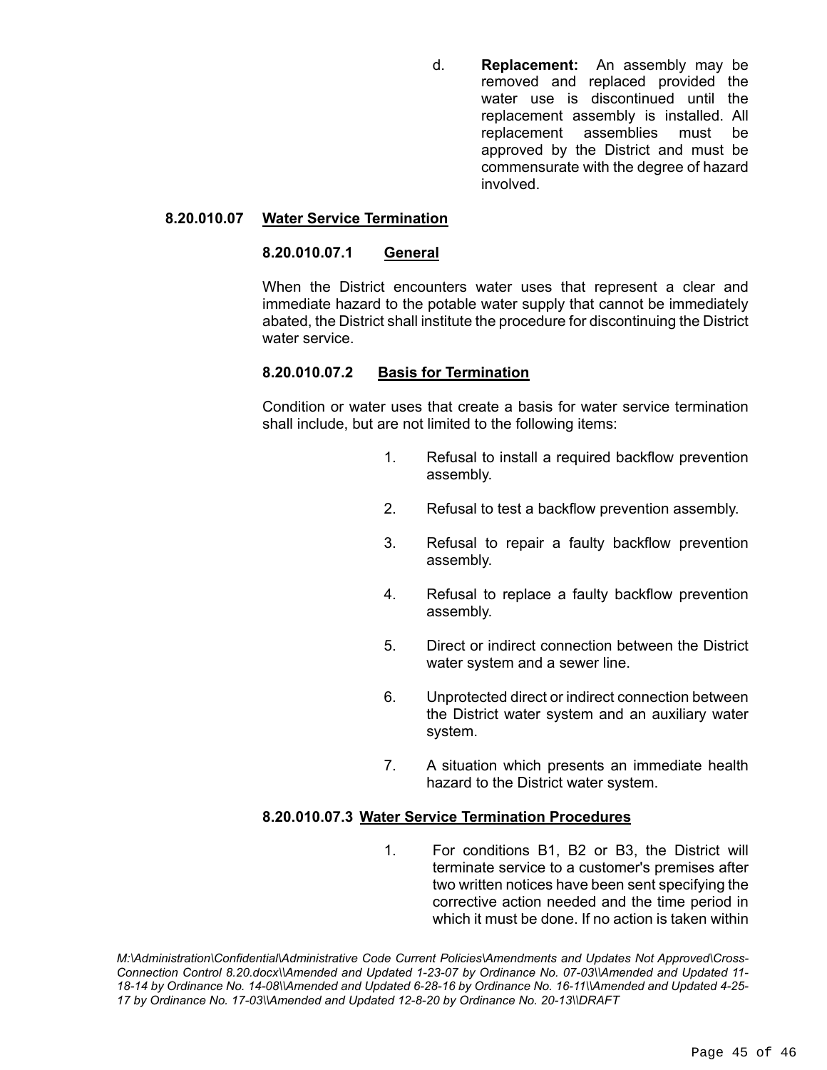d. **Replacement:** An assembly may be removed and replaced provided the water use is discontinued until the replacement assembly is installed. All replacement assemblies must be approved by the District and must be commensurate with the degree of hazard involved.

#### **8.20.010.07 Water Service Termination**

#### **8.20.010.07.1 General**

When the District encounters water uses that represent a clear and immediate hazard to the potable water supply that cannot be immediately abated, the District shall institute the procedure for discontinuing the District water service.

# **8.20.010.07.2 Basis for Termination**

Condition or water uses that create a basis for water service termination shall include, but are not limited to the following items:

- 1. Refusal to install a required backflow prevention assembly.
- 2. Refusal to test a backflow prevention assembly.
- 3. Refusal to repair a faulty backflow prevention assembly.
- 4. Refusal to replace a faulty backflow prevention assembly.
- 5. Direct or indirect connection between the District water system and a sewer line.
- 6. Unprotected direct or indirect connection between the District water system and an auxiliary water system.
- 7. A situation which presents an immediate health hazard to the District water system.

#### **8.20.010.07.3 Water Service Termination Procedures**

1. For conditions B1, B2 or B3, the District will terminate service to a customer's premises after two written notices have been sent specifying the corrective action needed and the time period in which it must be done. If no action is taken within